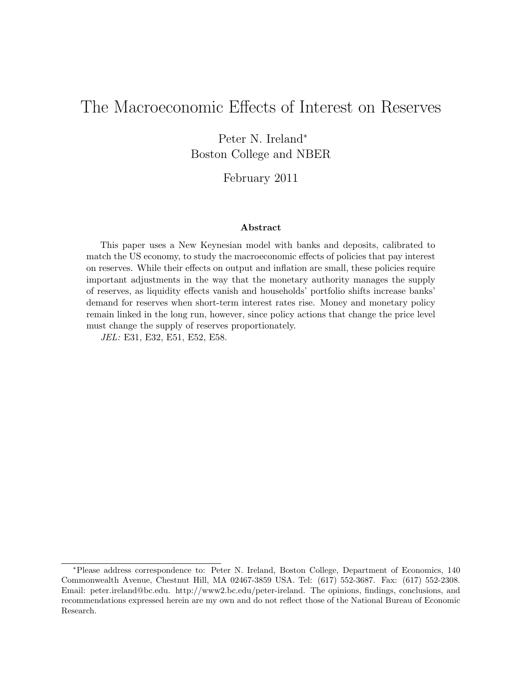# The Macroeconomic Effects of Interest on Reserves

Peter N. Ireland<sup>∗</sup> Boston College and NBER

February 2011

#### Abstract

This paper uses a New Keynesian model with banks and deposits, calibrated to match the US economy, to study the macroeconomic effects of policies that pay interest on reserves. While their effects on output and inflation are small, these policies require important adjustments in the way that the monetary authority manages the supply of reserves, as liquidity effects vanish and households' portfolio shifts increase banks' demand for reserves when short-term interest rates rise. Money and monetary policy remain linked in the long run, however, since policy actions that change the price level must change the supply of reserves proportionately.

JEL: E31, E32, E51, E52, E58.

<sup>∗</sup>Please address correspondence to: Peter N. Ireland, Boston College, Department of Economics, 140 Commonwealth Avenue, Chestnut Hill, MA 02467-3859 USA. Tel: (617) 552-3687. Fax: (617) 552-2308. Email: peter.ireland@bc.edu. http://www2.bc.edu/peter-ireland. The opinions, findings, conclusions, and recommendations expressed herein are my own and do not reflect those of the National Bureau of Economic Research.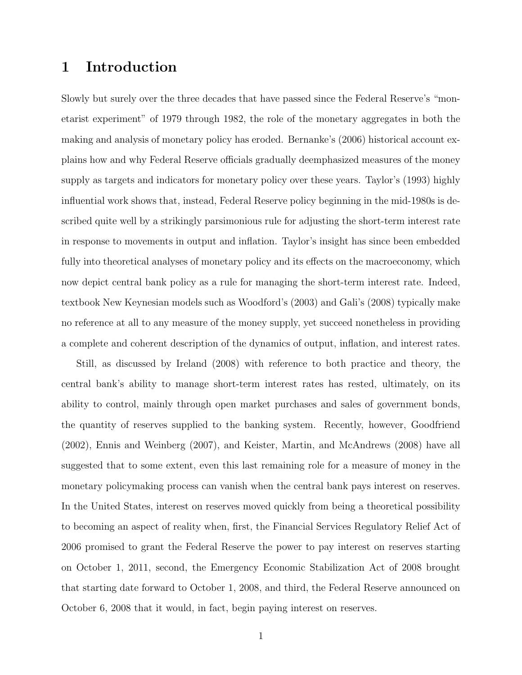## 1 Introduction

Slowly but surely over the three decades that have passed since the Federal Reserve's "monetarist experiment" of 1979 through 1982, the role of the monetary aggregates in both the making and analysis of monetary policy has eroded. Bernanke's (2006) historical account explains how and why Federal Reserve officials gradually deemphasized measures of the money supply as targets and indicators for monetary policy over these years. Taylor's (1993) highly influential work shows that, instead, Federal Reserve policy beginning in the mid-1980s is described quite well by a strikingly parsimonious rule for adjusting the short-term interest rate in response to movements in output and inflation. Taylor's insight has since been embedded fully into theoretical analyses of monetary policy and its effects on the macroeconomy, which now depict central bank policy as a rule for managing the short-term interest rate. Indeed, textbook New Keynesian models such as Woodford's (2003) and Gali's (2008) typically make no reference at all to any measure of the money supply, yet succeed nonetheless in providing a complete and coherent description of the dynamics of output, inflation, and interest rates.

Still, as discussed by Ireland (2008) with reference to both practice and theory, the central bank's ability to manage short-term interest rates has rested, ultimately, on its ability to control, mainly through open market purchases and sales of government bonds, the quantity of reserves supplied to the banking system. Recently, however, Goodfriend (2002), Ennis and Weinberg (2007), and Keister, Martin, and McAndrews (2008) have all suggested that to some extent, even this last remaining role for a measure of money in the monetary policymaking process can vanish when the central bank pays interest on reserves. In the United States, interest on reserves moved quickly from being a theoretical possibility to becoming an aspect of reality when, first, the Financial Services Regulatory Relief Act of 2006 promised to grant the Federal Reserve the power to pay interest on reserves starting on October 1, 2011, second, the Emergency Economic Stabilization Act of 2008 brought that starting date forward to October 1, 2008, and third, the Federal Reserve announced on October 6, 2008 that it would, in fact, begin paying interest on reserves.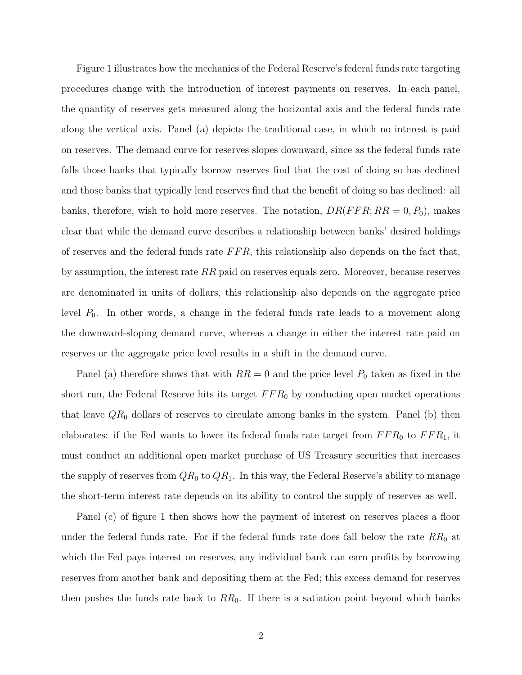Figure 1 illustrates how the mechanics of the Federal Reserve's federal funds rate targeting procedures change with the introduction of interest payments on reserves. In each panel, the quantity of reserves gets measured along the horizontal axis and the federal funds rate along the vertical axis. Panel (a) depicts the traditional case, in which no interest is paid on reserves. The demand curve for reserves slopes downward, since as the federal funds rate falls those banks that typically borrow reserves find that the cost of doing so has declined and those banks that typically lend reserves find that the benefit of doing so has declined: all banks, therefore, wish to hold more reserves. The notation,  $DR(FFR; RR = 0, P_0)$ , makes clear that while the demand curve describes a relationship between banks' desired holdings of reserves and the federal funds rate  $FFR$ , this relationship also depends on the fact that, by assumption, the interest rate  $RR$  paid on reserves equals zero. Moreover, because reserves are denominated in units of dollars, this relationship also depends on the aggregate price level  $P_0$ . In other words, a change in the federal funds rate leads to a movement along the downward-sloping demand curve, whereas a change in either the interest rate paid on reserves or the aggregate price level results in a shift in the demand curve.

Panel (a) therefore shows that with  $RR = 0$  and the price level  $P_0$  taken as fixed in the short run, the Federal Reserve hits its target  $FFR_0$  by conducting open market operations that leave  $QR_0$  dollars of reserves to circulate among banks in the system. Panel (b) then elaborates: if the Fed wants to lower its federal funds rate target from  $FFR_0$  to  $FFR_1$ , it must conduct an additional open market purchase of US Treasury securities that increases the supply of reserves from  $QR_0$  to  $QR_1$ . In this way, the Federal Reserve's ability to manage the short-term interest rate depends on its ability to control the supply of reserves as well.

Panel (c) of figure 1 then shows how the payment of interest on reserves places a floor under the federal funds rate. For if the federal funds rate does fall below the rate  $RR_0$  at which the Fed pays interest on reserves, any individual bank can earn profits by borrowing reserves from another bank and depositing them at the Fed; this excess demand for reserves then pushes the funds rate back to  $RR_0$ . If there is a satiation point beyond which banks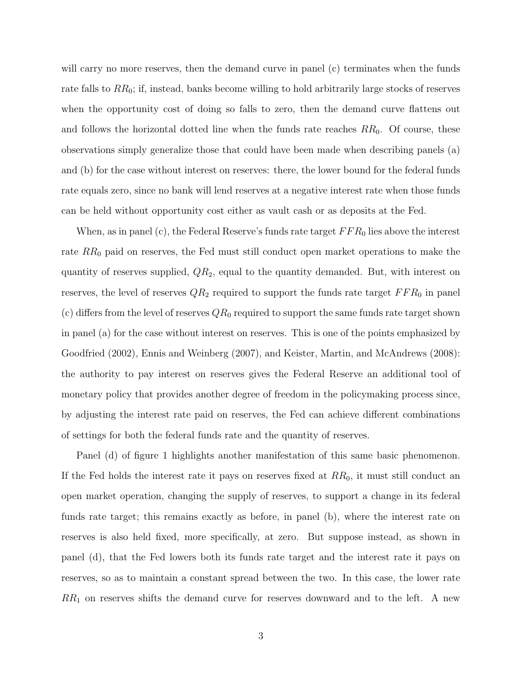will carry no more reserves, then the demand curve in panel (c) terminates when the funds rate falls to  $RR_0$ ; if, instead, banks become willing to hold arbitrarily large stocks of reserves when the opportunity cost of doing so falls to zero, then the demand curve flattens out and follows the horizontal dotted line when the funds rate reaches  $RR_0$ . Of course, these observations simply generalize those that could have been made when describing panels (a) and (b) for the case without interest on reserves: there, the lower bound for the federal funds rate equals zero, since no bank will lend reserves at a negative interest rate when those funds can be held without opportunity cost either as vault cash or as deposits at the Fed.

When, as in panel (c), the Federal Reserve's funds rate target  $FFR_0$  lies above the interest rate  $RR_0$  paid on reserves, the Fed must still conduct open market operations to make the quantity of reserves supplied,  $QR_2$ , equal to the quantity demanded. But, with interest on reserves, the level of reserves  $QR_2$  required to support the funds rate target  $FFR_0$  in panel (c) differs from the level of reserves  $QR_0$  required to support the same funds rate target shown in panel (a) for the case without interest on reserves. This is one of the points emphasized by Goodfried (2002), Ennis and Weinberg (2007), and Keister, Martin, and McAndrews (2008): the authority to pay interest on reserves gives the Federal Reserve an additional tool of monetary policy that provides another degree of freedom in the policymaking process since, by adjusting the interest rate paid on reserves, the Fed can achieve different combinations of settings for both the federal funds rate and the quantity of reserves.

Panel (d) of figure 1 highlights another manifestation of this same basic phenomenon. If the Fed holds the interest rate it pays on reserves fixed at  $RR_0$ , it must still conduct an open market operation, changing the supply of reserves, to support a change in its federal funds rate target; this remains exactly as before, in panel (b), where the interest rate on reserves is also held fixed, more specifically, at zero. But suppose instead, as shown in panel (d), that the Fed lowers both its funds rate target and the interest rate it pays on reserves, so as to maintain a constant spread between the two. In this case, the lower rate  $RR_1$  on reserves shifts the demand curve for reserves downward and to the left. A new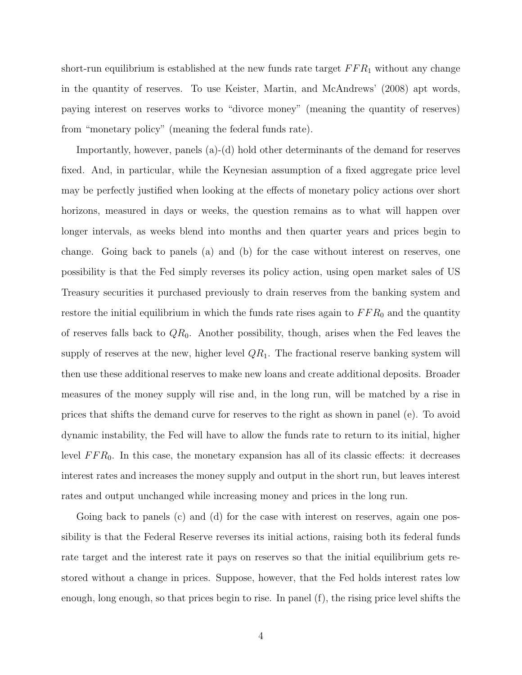short-run equilibrium is established at the new funds rate target  $FFR_1$  without any change in the quantity of reserves. To use Keister, Martin, and McAndrews' (2008) apt words, paying interest on reserves works to "divorce money" (meaning the quantity of reserves) from "monetary policy" (meaning the federal funds rate).

Importantly, however, panels (a)-(d) hold other determinants of the demand for reserves fixed. And, in particular, while the Keynesian assumption of a fixed aggregate price level may be perfectly justified when looking at the effects of monetary policy actions over short horizons, measured in days or weeks, the question remains as to what will happen over longer intervals, as weeks blend into months and then quarter years and prices begin to change. Going back to panels (a) and (b) for the case without interest on reserves, one possibility is that the Fed simply reverses its policy action, using open market sales of US Treasury securities it purchased previously to drain reserves from the banking system and restore the initial equilibrium in which the funds rate rises again to  $FFR_0$  and the quantity of reserves falls back to  $QR_0$ . Another possibility, though, arises when the Fed leaves the supply of reserves at the new, higher level  $QR_1$ . The fractional reserve banking system will then use these additional reserves to make new loans and create additional deposits. Broader measures of the money supply will rise and, in the long run, will be matched by a rise in prices that shifts the demand curve for reserves to the right as shown in panel (e). To avoid dynamic instability, the Fed will have to allow the funds rate to return to its initial, higher level  $FFR_0$ . In this case, the monetary expansion has all of its classic effects: it decreases interest rates and increases the money supply and output in the short run, but leaves interest rates and output unchanged while increasing money and prices in the long run.

Going back to panels (c) and (d) for the case with interest on reserves, again one possibility is that the Federal Reserve reverses its initial actions, raising both its federal funds rate target and the interest rate it pays on reserves so that the initial equilibrium gets restored without a change in prices. Suppose, however, that the Fed holds interest rates low enough, long enough, so that prices begin to rise. In panel (f), the rising price level shifts the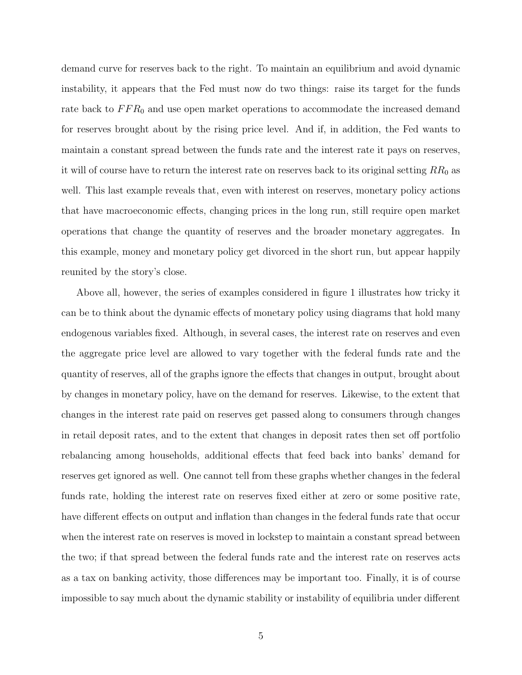demand curve for reserves back to the right. To maintain an equilibrium and avoid dynamic instability, it appears that the Fed must now do two things: raise its target for the funds rate back to  $FFR_0$  and use open market operations to accommodate the increased demand for reserves brought about by the rising price level. And if, in addition, the Fed wants to maintain a constant spread between the funds rate and the interest rate it pays on reserves, it will of course have to return the interest rate on reserves back to its original setting  $RR_0$  as well. This last example reveals that, even with interest on reserves, monetary policy actions that have macroeconomic effects, changing prices in the long run, still require open market operations that change the quantity of reserves and the broader monetary aggregates. In this example, money and monetary policy get divorced in the short run, but appear happily reunited by the story's close.

Above all, however, the series of examples considered in figure 1 illustrates how tricky it can be to think about the dynamic effects of monetary policy using diagrams that hold many endogenous variables fixed. Although, in several cases, the interest rate on reserves and even the aggregate price level are allowed to vary together with the federal funds rate and the quantity of reserves, all of the graphs ignore the effects that changes in output, brought about by changes in monetary policy, have on the demand for reserves. Likewise, to the extent that changes in the interest rate paid on reserves get passed along to consumers through changes in retail deposit rates, and to the extent that changes in deposit rates then set off portfolio rebalancing among households, additional effects that feed back into banks' demand for reserves get ignored as well. One cannot tell from these graphs whether changes in the federal funds rate, holding the interest rate on reserves fixed either at zero or some positive rate, have different effects on output and inflation than changes in the federal funds rate that occur when the interest rate on reserves is moved in lockstep to maintain a constant spread between the two; if that spread between the federal funds rate and the interest rate on reserves acts as a tax on banking activity, those differences may be important too. Finally, it is of course impossible to say much about the dynamic stability or instability of equilibria under different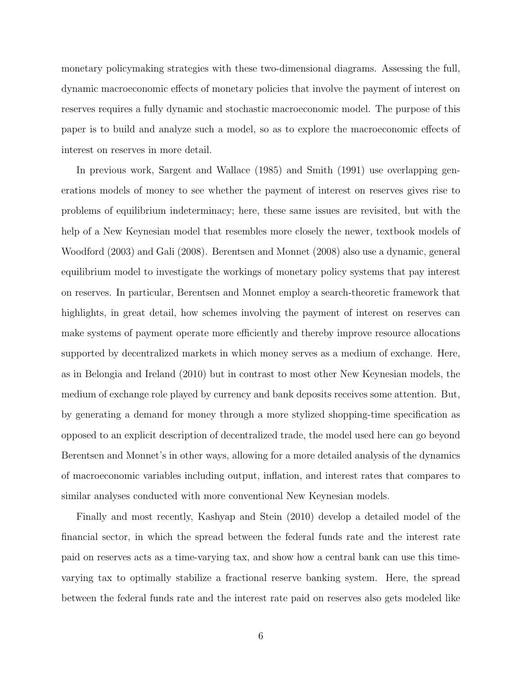monetary policymaking strategies with these two-dimensional diagrams. Assessing the full, dynamic macroeconomic effects of monetary policies that involve the payment of interest on reserves requires a fully dynamic and stochastic macroeconomic model. The purpose of this paper is to build and analyze such a model, so as to explore the macroeconomic effects of interest on reserves in more detail.

In previous work, Sargent and Wallace (1985) and Smith (1991) use overlapping generations models of money to see whether the payment of interest on reserves gives rise to problems of equilibrium indeterminacy; here, these same issues are revisited, but with the help of a New Keynesian model that resembles more closely the newer, textbook models of Woodford (2003) and Gali (2008). Berentsen and Monnet (2008) also use a dynamic, general equilibrium model to investigate the workings of monetary policy systems that pay interest on reserves. In particular, Berentsen and Monnet employ a search-theoretic framework that highlights, in great detail, how schemes involving the payment of interest on reserves can make systems of payment operate more efficiently and thereby improve resource allocations supported by decentralized markets in which money serves as a medium of exchange. Here, as in Belongia and Ireland (2010) but in contrast to most other New Keynesian models, the medium of exchange role played by currency and bank deposits receives some attention. But, by generating a demand for money through a more stylized shopping-time specification as opposed to an explicit description of decentralized trade, the model used here can go beyond Berentsen and Monnet's in other ways, allowing for a more detailed analysis of the dynamics of macroeconomic variables including output, inflation, and interest rates that compares to similar analyses conducted with more conventional New Keynesian models.

Finally and most recently, Kashyap and Stein (2010) develop a detailed model of the financial sector, in which the spread between the federal funds rate and the interest rate paid on reserves acts as a time-varying tax, and show how a central bank can use this timevarying tax to optimally stabilize a fractional reserve banking system. Here, the spread between the federal funds rate and the interest rate paid on reserves also gets modeled like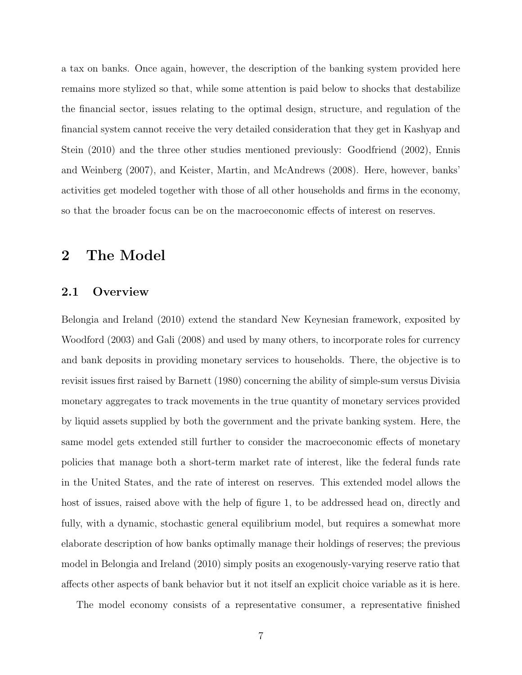a tax on banks. Once again, however, the description of the banking system provided here remains more stylized so that, while some attention is paid below to shocks that destabilize the financial sector, issues relating to the optimal design, structure, and regulation of the financial system cannot receive the very detailed consideration that they get in Kashyap and Stein (2010) and the three other studies mentioned previously: Goodfriend (2002), Ennis and Weinberg (2007), and Keister, Martin, and McAndrews (2008). Here, however, banks' activities get modeled together with those of all other households and firms in the economy, so that the broader focus can be on the macroeconomic effects of interest on reserves.

## 2 The Model

#### 2.1 Overview

Belongia and Ireland (2010) extend the standard New Keynesian framework, exposited by Woodford (2003) and Gali (2008) and used by many others, to incorporate roles for currency and bank deposits in providing monetary services to households. There, the objective is to revisit issues first raised by Barnett (1980) concerning the ability of simple-sum versus Divisia monetary aggregates to track movements in the true quantity of monetary services provided by liquid assets supplied by both the government and the private banking system. Here, the same model gets extended still further to consider the macroeconomic effects of monetary policies that manage both a short-term market rate of interest, like the federal funds rate in the United States, and the rate of interest on reserves. This extended model allows the host of issues, raised above with the help of figure 1, to be addressed head on, directly and fully, with a dynamic, stochastic general equilibrium model, but requires a somewhat more elaborate description of how banks optimally manage their holdings of reserves; the previous model in Belongia and Ireland (2010) simply posits an exogenously-varying reserve ratio that affects other aspects of bank behavior but it not itself an explicit choice variable as it is here.

The model economy consists of a representative consumer, a representative finished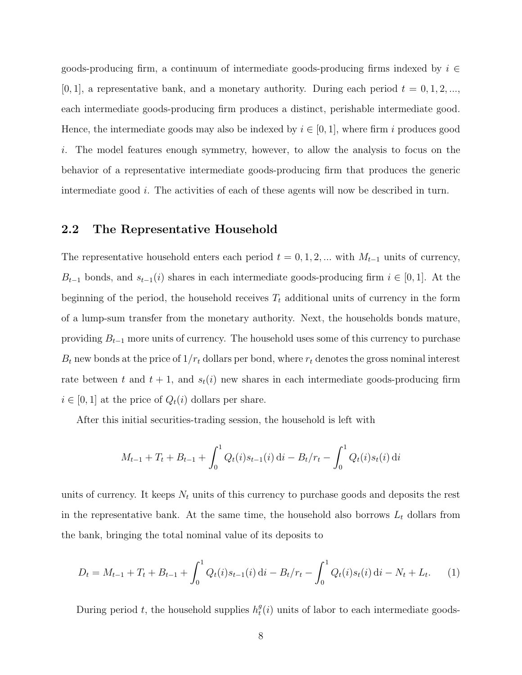goods-producing firm, a continuum of intermediate goods-producing firms indexed by  $i \in$ [0, 1], a representative bank, and a monetary authority. During each period  $t = 0, 1, 2, \ldots$ , each intermediate goods-producing firm produces a distinct, perishable intermediate good. Hence, the intermediate goods may also be indexed by  $i \in [0, 1]$ , where firm i produces good i. The model features enough symmetry, however, to allow the analysis to focus on the behavior of a representative intermediate goods-producing firm that produces the generic intermediate good  $i$ . The activities of each of these agents will now be described in turn.

#### 2.2 The Representative Household

The representative household enters each period  $t = 0, 1, 2, ...$  with  $M_{t-1}$  units of currency,  $B_{t-1}$  bonds, and  $s_{t-1}(i)$  shares in each intermediate goods-producing firm  $i \in [0,1]$ . At the beginning of the period, the household receives  $T_t$  additional units of currency in the form of a lump-sum transfer from the monetary authority. Next, the households bonds mature, providing  $B_{t-1}$  more units of currency. The household uses some of this currency to purchase  $B_t$  new bonds at the price of  $1/r_t$  dollars per bond, where  $r_t$  denotes the gross nominal interest rate between t and  $t + 1$ , and  $s_t(i)$  new shares in each intermediate goods-producing firm  $i \in [0, 1]$  at the price of  $Q_t(i)$  dollars per share.

After this initial securities-trading session, the household is left with

$$
M_{t-1} + T_t + B_{t-1} + \int_0^1 Q_t(i) s_{t-1}(i) \, \mathrm{d}i - B_t / r_t - \int_0^1 Q_t(i) s_t(i) \, \mathrm{d}i
$$

units of currency. It keeps  $N_t$  units of this currency to purchase goods and deposits the rest in the representative bank. At the same time, the household also borrows  $L_t$  dollars from the bank, bringing the total nominal value of its deposits to

$$
D_t = M_{t-1} + T_t + B_{t-1} + \int_0^1 Q_t(i) s_{t-1}(i) \, \mathrm{d}i - B_t / r_t - \int_0^1 Q_t(i) s_t(i) \, \mathrm{d}i - N_t + L_t. \tag{1}
$$

During period t, the household supplies  $h_t^g$  $_t^g(i)$  units of labor to each intermediate goods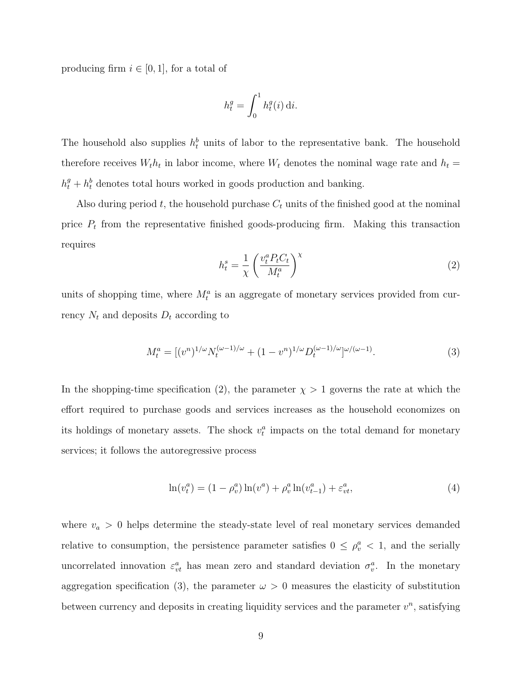producing firm  $i \in [0,1]$ , for a total of

$$
h_t^g = \int_0^1 h_t^g(i) \, \mathrm{d}i.
$$

The household also supplies  $h_t^b$  units of labor to the representative bank. The household therefore receives  $W_t h_t$  in labor income, where  $W_t$  denotes the nominal wage rate and  $h_t =$  $h_t^g + h_t^b$  denotes total hours worked in goods production and banking.

Also during period t, the household purchase  $C_t$  units of the finished good at the nominal price  $P_t$  from the representative finished goods-producing firm. Making this transaction requires

$$
h_t^s = \frac{1}{\chi} \left( \frac{v_t^a P_t C_t}{M_t^a} \right)^\chi \tag{2}
$$

units of shopping time, where  $M_t^a$  is an aggregate of monetary services provided from currency  $N_t$  and deposits  $D_t$  according to

$$
M_t^a = [(v^n)^{1/\omega} N_t^{(\omega - 1)/\omega} + (1 - v^n)^{1/\omega} D_t^{(\omega - 1)/\omega}]^{\omega/(\omega - 1)}.
$$
\n(3)

In the shopping-time specification (2), the parameter  $\chi > 1$  governs the rate at which the effort required to purchase goods and services increases as the household economizes on its holdings of monetary assets. The shock  $v_t^a$  impacts on the total demand for monetary services; it follows the autoregressive process

$$
\ln(v_t^a) = (1 - \rho_v^a) \ln(v^a) + \rho_v^a \ln(v_{t-1}^a) + \varepsilon_{vt}^a,
$$
\n(4)

where  $v_a > 0$  helps determine the steady-state level of real monetary services demanded relative to consumption, the persistence parameter satisfies  $0 \leq \rho_v^a < 1$ , and the serially uncorrelated innovation  $\varepsilon_{vt}^a$  has mean zero and standard deviation  $\sigma_v^a$ . In the monetary aggregation specification (3), the parameter  $\omega > 0$  measures the elasticity of substitution between currency and deposits in creating liquidity services and the parameter  $v^n$ , satisfying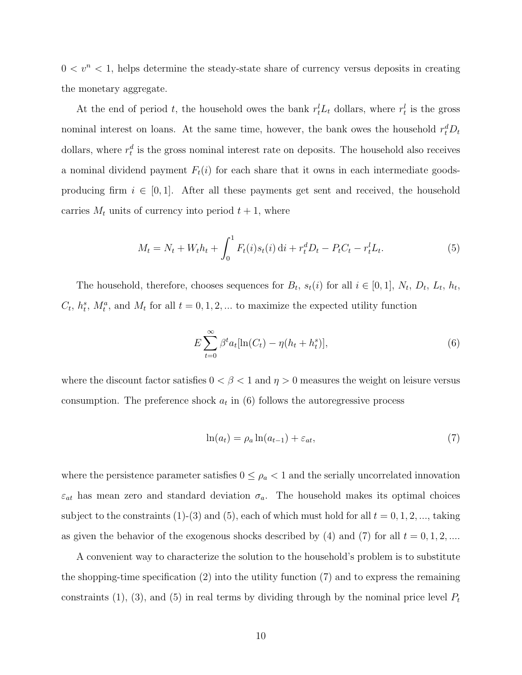$0 < v<sup>n</sup> < 1$ , helps determine the steady-state share of currency versus deposits in creating the monetary aggregate.

At the end of period t, the household owes the bank  $r_t^l L_t$  dollars, where  $r_t^l$  is the gross nominal interest on loans. At the same time, however, the bank owes the household  $r_t^d D_t$ dollars, where  $r_t^d$  is the gross nominal interest rate on deposits. The household also receives a nominal dividend payment  $F_t(i)$  for each share that it owns in each intermediate goodsproducing firm  $i \in [0, 1]$ . After all these payments get sent and received, the household carries  $M_t$  units of currency into period  $t + 1$ , where

$$
M_t = N_t + W_t h_t + \int_0^1 F_t(i) s_t(i) \, \mathrm{d}i + r_t^d D_t - P_t C_t - r_t^l L_t. \tag{5}
$$

The household, therefore, chooses sequences for  $B_t$ ,  $s_t(i)$  for all  $i \in [0,1]$ ,  $N_t$ ,  $D_t$ ,  $L_t$ ,  $h_t$ ,  $C_t$ ,  $h_t^s$ ,  $M_t^a$ , and  $M_t$  for all  $t = 0, 1, 2, ...$  to maximize the expected utility function

$$
E\sum_{t=0}^{\infty} \beta^t a_t [\ln(C_t) - \eta(h_t + h_t^s)],\tag{6}
$$

where the discount factor satisfies  $0 < \beta < 1$  and  $\eta > 0$  measures the weight on leisure versus consumption. The preference shock  $a_t$  in  $(6)$  follows the autoregressive process

$$
\ln(a_t) = \rho_a \ln(a_{t-1}) + \varepsilon_{at},\tag{7}
$$

where the persistence parameter satisfies  $0 \leq \rho_a < 1$  and the serially uncorrelated innovation  $\varepsilon_{at}$  has mean zero and standard deviation  $\sigma_a$ . The household makes its optimal choices subject to the constraints (1)-(3) and (5), each of which must hold for all  $t = 0, 1, 2, \dots$ , taking as given the behavior of the exogenous shocks described by (4) and (7) for all  $t = 0, 1, 2, ...$ 

A convenient way to characterize the solution to the household's problem is to substitute the shopping-time specification  $(2)$  into the utility function  $(7)$  and to express the remaining constraints (1), (3), and (5) in real terms by dividing through by the nominal price level  $P_t$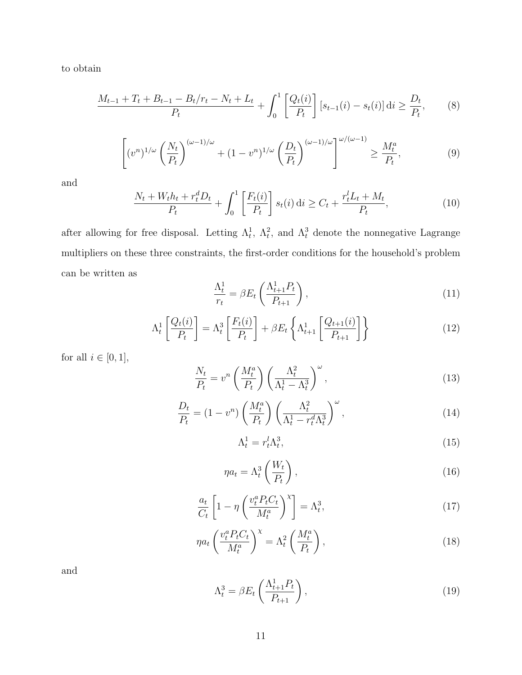to obtain

$$
\frac{M_{t-1} + T_t + B_{t-1} - B_t/r_t - N_t + L_t}{P_t} + \int_0^1 \left[ \frac{Q_t(i)}{P_t} \right] \left[ s_{t-1}(i) - s_t(i) \right] \mathrm{d}i \ge \frac{D_t}{P_t},\tag{8}
$$

$$
\left[ (v^n)^{1/\omega} \left( \frac{N_t}{P_t} \right)^{(\omega - 1)/\omega} + (1 - v^n)^{1/\omega} \left( \frac{D_t}{P_t} \right)^{(\omega - 1)/\omega} \right]^{\omega/(\omega - 1)} \ge \frac{M_t^a}{P_t},\tag{9}
$$

and

$$
\frac{N_t + W_t h_t + r_t^d D_t}{P_t} + \int_0^1 \left[ \frac{F_t(i)}{P_t} \right] s_t(i) \, \mathrm{d}i \ge C_t + \frac{r_t^l L_t + M_t}{P_t},\tag{10}
$$

after allowing for free disposal. Letting  $\Lambda_t^1$ ,  $\Lambda_t^2$ , and  $\Lambda_t^3$  denote the nonnegative Lagrange multipliers on these three constraints, the first-order conditions for the household's problem can be written as

$$
\frac{\Lambda_t^1}{r_t} = \beta E_t \left( \frac{\Lambda_{t+1}^1 P_t}{P_{t+1}} \right),\tag{11}
$$

$$
\Lambda_t^1 \left[ \frac{Q_t(i)}{P_t} \right] = \Lambda_t^3 \left[ \frac{F_t(i)}{P_t} \right] + \beta E_t \left\{ \Lambda_{t+1}^1 \left[ \frac{Q_{t+1}(i)}{P_{t+1}} \right] \right\} \tag{12}
$$

for all  $i\in [0,1],$ 

$$
\frac{N_t}{P_t} = v^n \left(\frac{M_t^a}{P_t}\right) \left(\frac{\Lambda_t^2}{\Lambda_t^1 - \Lambda_t^3}\right)^\omega,\tag{13}
$$

$$
\frac{D_t}{P_t} = (1 - v^n) \left(\frac{M_t^a}{P_t}\right) \left(\frac{\Lambda_t^2}{\Lambda_t^1 - r_t^d \Lambda_t^3}\right)^\omega,\tag{14}
$$

$$
\Lambda_t^1 = r_t^l \Lambda_t^3,\tag{15}
$$

$$
\eta a_t = \Lambda_t^3 \left( \frac{W_t}{P_t} \right),\tag{16}
$$

$$
\frac{a_t}{C_t} \left[ 1 - \eta \left( \frac{v_t^a P_t C_t}{M_t^a} \right)^{\chi} \right] = \Lambda_t^3,
$$
\n(17)

$$
\eta a_t \left(\frac{v_t^a P_t C_t}{M_t^a}\right)^{\chi} = \Lambda_t^2 \left(\frac{M_t^a}{P_t}\right),\tag{18}
$$

and

$$
\Lambda_t^3 = \beta E_t \left( \frac{\Lambda_{t+1}^1 P_t}{P_{t+1}} \right),\tag{19}
$$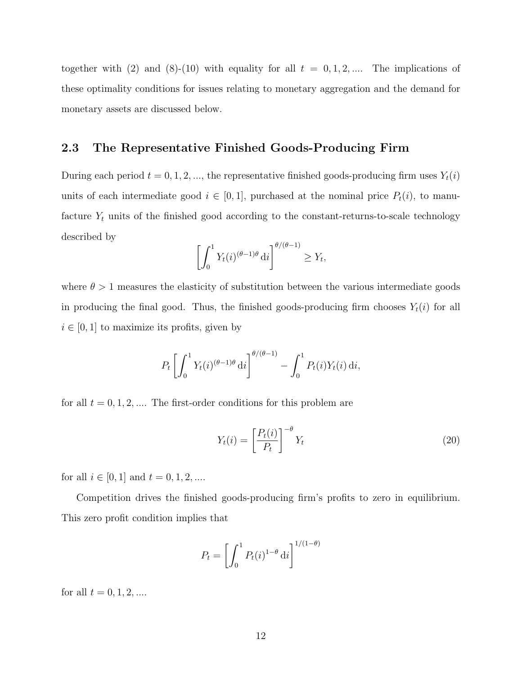together with (2) and (8)-(10) with equality for all  $t = 0, 1, 2, ...$  The implications of these optimality conditions for issues relating to monetary aggregation and the demand for monetary assets are discussed below.

#### 2.3 The Representative Finished Goods-Producing Firm

During each period  $t = 0, 1, 2, \dots$ , the representative finished goods-producing firm uses  $Y_t(i)$ units of each intermediate good  $i \in [0,1]$ , purchased at the nominal price  $P_t(i)$ , to manufacture  $Y_t$  units of the finished good according to the constant-returns-to-scale technology described by

$$
\left[\int_0^1 Y_t(i)^{(\theta-1)\theta} \,\mathrm{d}i\right]^{\theta/(\theta-1)} \ge Y_t,
$$

where  $\theta > 1$  measures the elasticity of substitution between the various intermediate goods in producing the final good. Thus, the finished goods-producing firm chooses  $Y_t(i)$  for all  $i \in [0, 1]$  to maximize its profits, given by

$$
P_t \left[ \int_0^1 Y_t(i)^{(\theta - 1)\theta} \, \mathrm{d}i \right]^{\theta/(\theta - 1)} - \int_0^1 P_t(i) Y_t(i) \, \mathrm{d}i,
$$

for all  $t = 0, 1, 2, \dots$  The first-order conditions for this problem are

$$
Y_t(i) = \left[\frac{P_t(i)}{P_t}\right]^{-\theta} Y_t
$$
\n(20)

for all  $i \in [0, 1]$  and  $t = 0, 1, 2, ...$ 

Competition drives the finished goods-producing firm's profits to zero in equilibrium. This zero profit condition implies that

$$
P_t = \left[ \int_0^1 P_t(i)^{1-\theta} \, \mathrm{d}i \right]^{1/(1-\theta)}
$$

for all  $t = 0, 1, 2, ...$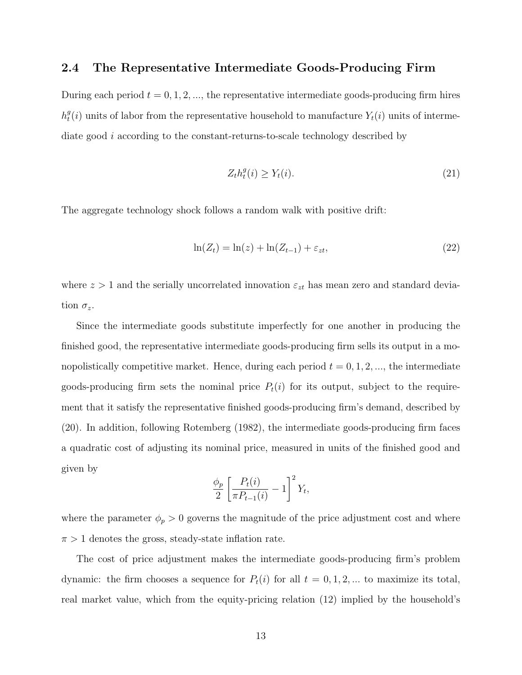#### 2.4 The Representative Intermediate Goods-Producing Firm

During each period  $t = 0, 1, 2, \dots$ , the representative intermediate goods-producing firm hires  $h_t^g$  $t_i^g(i)$  units of labor from the representative household to manufacture  $Y_t(i)$  units of intermediate good i according to the constant-returns-to-scale technology described by

$$
Z_t h_t^g(i) \ge Y_t(i). \tag{21}
$$

The aggregate technology shock follows a random walk with positive drift:

$$
\ln(Z_t) = \ln(z) + \ln(Z_{t-1}) + \varepsilon_{zt},\tag{22}
$$

where  $z > 1$  and the serially uncorrelated innovation  $\varepsilon_{zt}$  has mean zero and standard deviation  $\sigma_z$ .

Since the intermediate goods substitute imperfectly for one another in producing the finished good, the representative intermediate goods-producing firm sells its output in a monopolistically competitive market. Hence, during each period  $t = 0, 1, 2, \dots$ , the intermediate goods-producing firm sets the nominal price  $P_t(i)$  for its output, subject to the requirement that it satisfy the representative finished goods-producing firm's demand, described by (20). In addition, following Rotemberg (1982), the intermediate goods-producing firm faces a quadratic cost of adjusting its nominal price, measured in units of the finished good and given by

$$
\frac{\phi_p}{2} \left[ \frac{P_t(i)}{\pi P_{t-1}(i)} - 1 \right]^2 Y_t,
$$

where the parameter  $\phi_p > 0$  governs the magnitude of the price adjustment cost and where  $\pi > 1$  denotes the gross, steady-state inflation rate.

The cost of price adjustment makes the intermediate goods-producing firm's problem dynamic: the firm chooses a sequence for  $P_t(i)$  for all  $t = 0, 1, 2, ...$  to maximize its total, real market value, which from the equity-pricing relation (12) implied by the household's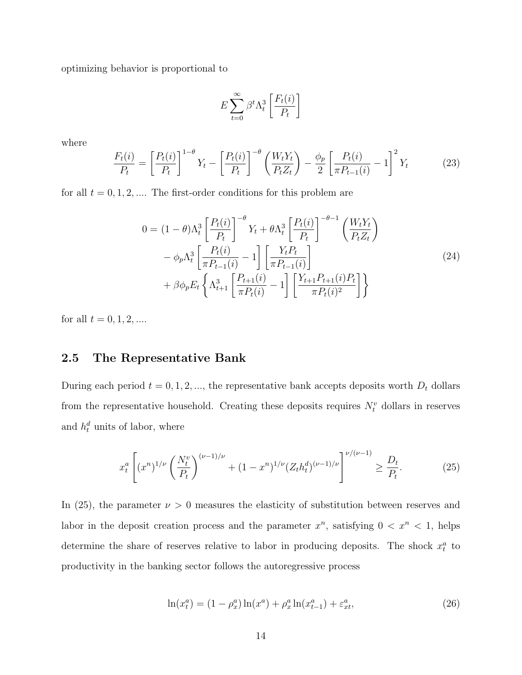optimizing behavior is proportional to

$$
E\sum_{t=0}^{\infty}\beta^t\Lambda_t^3\left[\frac{F_t(i)}{P_t}\right]
$$

where

$$
\frac{F_t(i)}{P_t} = \left[\frac{P_t(i)}{P_t}\right]^{1-\theta} Y_t - \left[\frac{P_t(i)}{P_t}\right]^{-\theta} \left(\frac{W_t Y_t}{P_t Z_t}\right) - \frac{\phi_p}{2} \left[\frac{P_t(i)}{\pi P_{t-1}(i)} - 1\right]^2 Y_t \tag{23}
$$

for all  $t = 0, 1, 2, \dots$  The first-order conditions for this problem are

$$
0 = (1 - \theta) \Lambda_t^3 \left[ \frac{P_t(i)}{P_t} \right]^{-\theta} Y_t + \theta \Lambda_t^3 \left[ \frac{P_t(i)}{P_t} \right]^{-\theta - 1} \left( \frac{W_t Y_t}{P_t Z_t} \right) - \phi_p \Lambda_t^3 \left[ \frac{P_t(i)}{\pi P_{t-1}(i)} - 1 \right] \left[ \frac{Y_t P_t}{\pi P_{t-1}(i)} \right] + \beta \phi_p E_t \left\{ \Lambda_{t+1}^3 \left[ \frac{P_{t+1}(i)}{\pi P_t(i)} - 1 \right] \left[ \frac{Y_{t+1} P_{t+1}(i) P_t}{\pi P_t(i)^2} \right] \right\}
$$
(24)

for all  $t=0,1,2,\ldots$ 

### 2.5 The Representative Bank

During each period  $t = 0, 1, 2, \dots$ , the representative bank accepts deposits worth  $D_t$  dollars from the representative household. Creating these deposits requires  $N_t^v$  dollars in reserves and  $h_t^d$  units of labor, where

$$
x_t^a \left[ (x^n)^{1/\nu} \left( \frac{N_t^v}{P_t} \right)^{(\nu - 1)/\nu} + (1 - x^n)^{1/\nu} (Z_t h_t^d)^{(\nu - 1)/\nu} \right]^{ \nu/(\nu - 1)} \ge \frac{D_t}{P_t}.\tag{25}
$$

In (25), the parameter  $\nu > 0$  measures the elasticity of substitution between reserves and labor in the deposit creation process and the parameter  $x^n$ , satisfying  $0 < x^n < 1$ , helps determine the share of reserves relative to labor in producing deposits. The shock  $x_i^a$  to productivity in the banking sector follows the autoregressive process

$$
\ln(x_t^a) = (1 - \rho_x^a) \ln(x^a) + \rho_x^a \ln(x_{t-1}^a) + \varepsilon_{xt}^a,\tag{26}
$$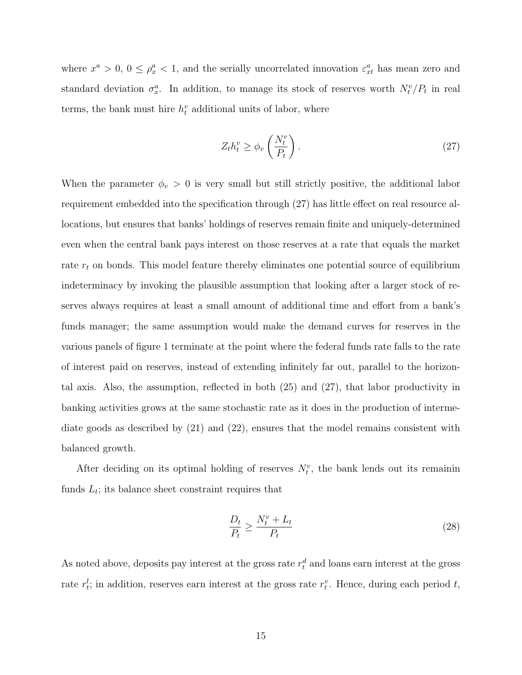where  $x^a > 0$ ,  $0 \le \rho_x^a < 1$ , and the serially uncorrelated innovation  $\varepsilon_{xt}^a$  has mean zero and standard deviation  $\sigma_x^a$ . In addition, to manage its stock of reserves worth  $N_t^v/P_t$  in real terms, the bank must hire  $h_t^v$  additional units of labor, where

$$
Z_t h_t^v \ge \phi_v \left(\frac{N_t^v}{P_t}\right). \tag{27}
$$

When the parameter  $\phi_v > 0$  is very small but still strictly positive, the additional labor requirement embedded into the specification through (27) has little effect on real resource allocations, but ensures that banks' holdings of reserves remain finite and uniquely-determined even when the central bank pays interest on those reserves at a rate that equals the market rate  $r_t$  on bonds. This model feature thereby eliminates one potential source of equilibrium indeterminacy by invoking the plausible assumption that looking after a larger stock of reserves always requires at least a small amount of additional time and effort from a bank's funds manager; the same assumption would make the demand curves for reserves in the various panels of figure 1 terminate at the point where the federal funds rate falls to the rate of interest paid on reserves, instead of extending infinitely far out, parallel to the horizontal axis. Also, the assumption, reflected in both (25) and (27), that labor productivity in banking activities grows at the same stochastic rate as it does in the production of intermediate goods as described by (21) and (22), ensures that the model remains consistent with balanced growth.

After deciding on its optimal holding of reserves  $N_t^v$ , the bank lends out its remainin funds  $L_t$ ; its balance sheet constraint requires that

$$
\frac{D_t}{P_t} \ge \frac{N_t^v + L_t}{P_t} \tag{28}
$$

As noted above, deposits pay interest at the gross rate  $r_t^d$  and loans earn interest at the gross rate  $r_t^l$ ; in addition, reserves earn interest at the gross rate  $r_t^v$ . Hence, during each period t,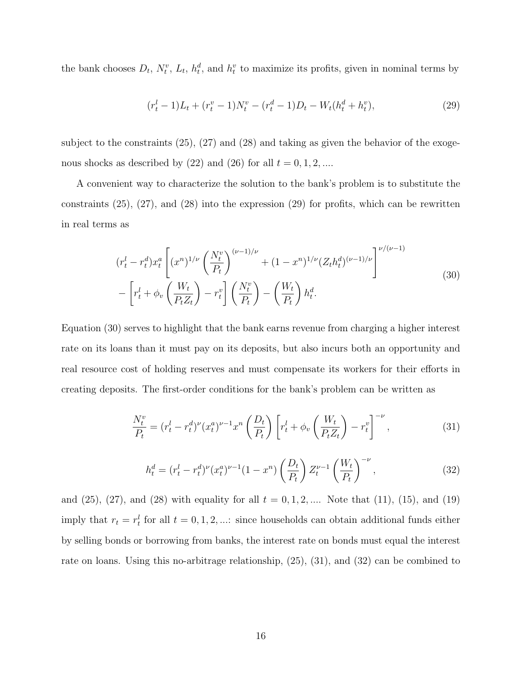the bank chooses  $D_t$ ,  $N_t^v$ ,  $L_t$ ,  $h_t^d$ , and  $h_t^v$  to maximize its profits, given in nominal terms by

$$
(r_t^l - 1)L_t + (r_t^v - 1)N_t^v - (r_t^d - 1)D_t - W_t(h_t^d + h_t^v),
$$
\n(29)

subject to the constraints  $(25)$ ,  $(27)$  and  $(28)$  and taking as given the behavior of the exogenous shocks as described by (22) and (26) for all  $t = 0, 1, 2, ...$ 

A convenient way to characterize the solution to the bank's problem is to substitute the constraints  $(25)$ ,  $(27)$ , and  $(28)$  into the expression  $(29)$  for profits, which can be rewritten in real terms as

$$
(r_t^l - r_t^d) x_t^a \left[ (x^n)^{1/\nu} \left( \frac{N_t^v}{P_t} \right)^{(\nu - 1)/\nu} + (1 - x^n)^{1/\nu} (Z_t h_t^d)^{(\nu - 1)/\nu} \right]^{\nu/(\nu - 1)} - \left[ r_t^l + \phi_v \left( \frac{W_t}{P_t Z_t} \right) - r_t^v \right] \left( \frac{N_t^v}{P_t} \right) - \left( \frac{W_t}{P_t} \right) h_t^d.
$$
\n(30)

Equation (30) serves to highlight that the bank earns revenue from charging a higher interest rate on its loans than it must pay on its deposits, but also incurs both an opportunity and real resource cost of holding reserves and must compensate its workers for their efforts in creating deposits. The first-order conditions for the bank's problem can be written as

$$
\frac{N_t^v}{P_t} = (r_t^l - r_t^d)^{\nu} (x_t^a)^{\nu - 1} x^n \left(\frac{D_t}{P_t}\right) \left[r_t^l + \phi_v \left(\frac{W_t}{P_t Z_t}\right) - r_t^v\right]^{-\nu},\tag{31}
$$

$$
h_t^d = (r_t^l - r_t^d)^{\nu} (x_t^a)^{\nu - 1} (1 - x^n) \left(\frac{D_t}{P_t}\right) Z_t^{\nu - 1} \left(\frac{W_t}{P_t}\right)^{-\nu},\tag{32}
$$

and  $(25)$ ,  $(27)$ , and  $(28)$  with equality for all  $t = 0, 1, 2, ...$  Note that  $(11)$ ,  $(15)$ , and  $(19)$ imply that  $r_t = r_t^l$  for all  $t = 0, 1, 2, \dots$ : since households can obtain additional funds either by selling bonds or borrowing from banks, the interest rate on bonds must equal the interest rate on loans. Using this no-arbitrage relationship, (25), (31), and (32) can be combined to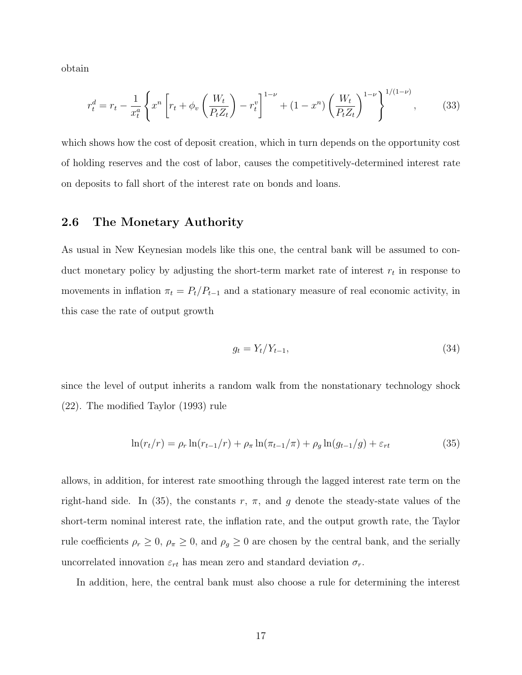obtain

$$
r_t^d = r_t - \frac{1}{x_t^a} \left\{ x^n \left[ r_t + \phi_v \left( \frac{W_t}{P_t Z_t} \right) - r_t^v \right]^{1-\nu} + (1 - x^n) \left( \frac{W_t}{P_t Z_t} \right)^{1-\nu} \right\}^{1/(1-\nu)},\tag{33}
$$

which shows how the cost of deposit creation, which in turn depends on the opportunity cost of holding reserves and the cost of labor, causes the competitively-determined interest rate on deposits to fall short of the interest rate on bonds and loans.

#### 2.6 The Monetary Authority

As usual in New Keynesian models like this one, the central bank will be assumed to conduct monetary policy by adjusting the short-term market rate of interest  $r_t$  in response to movements in inflation  $\pi_t = P_t/P_{t-1}$  and a stationary measure of real economic activity, in this case the rate of output growth

$$
g_t = Y_t / Y_{t-1},\tag{34}
$$

since the level of output inherits a random walk from the nonstationary technology shock (22). The modified Taylor (1993) rule

$$
\ln(r_t/r) = \rho_r \ln(r_{t-1}/r) + \rho_\pi \ln(\pi_{t-1}/\pi) + \rho_g \ln(g_{t-1}/g) + \varepsilon_{rt}
$$
\n(35)

allows, in addition, for interest rate smoothing through the lagged interest rate term on the right-hand side. In (35), the constants  $r, \pi$ , and g denote the steady-state values of the short-term nominal interest rate, the inflation rate, and the output growth rate, the Taylor rule coefficients  $\rho_r \geq 0$ ,  $\rho_{\pi} \geq 0$ , and  $\rho_g \geq 0$  are chosen by the central bank, and the serially uncorrelated innovation  $\varepsilon_{rt}$  has mean zero and standard deviation  $\sigma_r$ .

In addition, here, the central bank must also choose a rule for determining the interest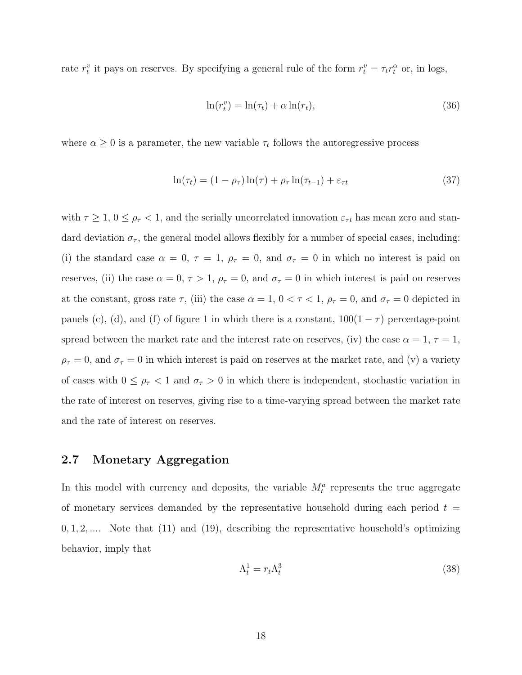rate  $r_t^v$  it pays on reserves. By specifying a general rule of the form  $r_t^v = \tau_t r_t^\alpha$  or, in logs,

$$
\ln(r_t^v) = \ln(\tau_t) + \alpha \ln(r_t),\tag{36}
$$

where  $\alpha \geq 0$  is a parameter, the new variable  $\tau_t$  follows the autoregressive process

$$
\ln(\tau_t) = (1 - \rho_\tau) \ln(\tau) + \rho_\tau \ln(\tau_{t-1}) + \varepsilon_{\tau t} \tag{37}
$$

with  $\tau \geq 1$ ,  $0 \leq \rho_{\tau} < 1$ , and the serially uncorrelated innovation  $\varepsilon_{\tau t}$  has mean zero and standard deviation  $\sigma_{\tau}$ , the general model allows flexibly for a number of special cases, including: (i) the standard case  $\alpha = 0, \tau = 1, \rho_{\tau} = 0, \text{ and } \sigma_{\tau} = 0$  in which no interest is paid on reserves, (ii) the case  $\alpha = 0, \tau > 1, \rho_{\tau} = 0$ , and  $\sigma_{\tau} = 0$  in which interest is paid on reserves at the constant, gross rate  $\tau$ , (iii) the case  $\alpha = 1$ ,  $0 < \tau < 1$ ,  $\rho_{\tau} = 0$ , and  $\sigma_{\tau} = 0$  depicted in panels (c), (d), and (f) of figure 1 in which there is a constant,  $100(1 - \tau)$  percentage-point spread between the market rate and the interest rate on reserves, (iv) the case  $\alpha = 1, \tau = 1$ ,  $\rho_{\tau} = 0$ , and  $\sigma_{\tau} = 0$  in which interest is paid on reserves at the market rate, and (v) a variety of cases with  $0 \leq \rho_{\tau} < 1$  and  $\sigma_{\tau} > 0$  in which there is independent, stochastic variation in the rate of interest on reserves, giving rise to a time-varying spread between the market rate and the rate of interest on reserves.

### 2.7 Monetary Aggregation

In this model with currency and deposits, the variable  $M_t^a$  represents the true aggregate of monetary services demanded by the representative household during each period  $t =$  $0, 1, 2, \ldots$  Note that  $(11)$  and  $(19)$ , describing the representative household's optimizing behavior, imply that

$$
\Lambda_t^1 = r_t \Lambda_t^3 \tag{38}
$$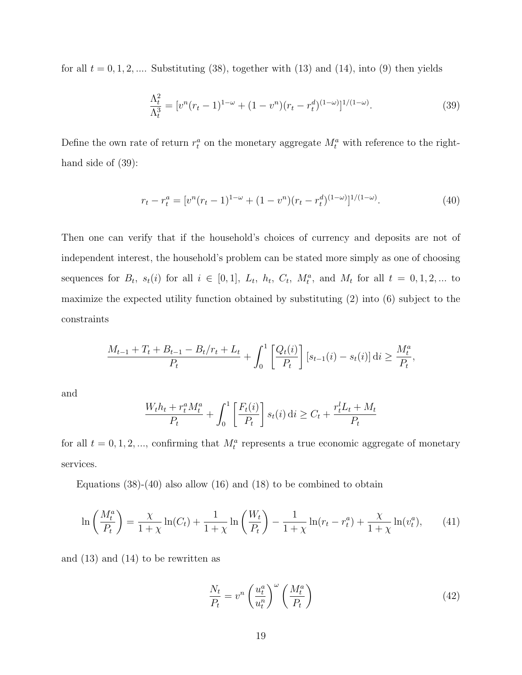for all  $t = 0, 1, 2, \dots$  Substituting (38), together with (13) and (14), into (9) then yields

$$
\frac{\Lambda_t^2}{\Lambda_t^3} = [v^n(r_t - 1)^{1 - \omega} + (1 - v^n)(r_t - r_t^d)^{(1 - \omega)}]^{1/(1 - \omega)}.
$$
\n(39)

Define the own rate of return  $r_t^a$  on the monetary aggregate  $M_t^a$  with reference to the righthand side of (39):

$$
r_t - r_t^a = [v^n(r_t - 1)^{1-\omega} + (1 - v^n)(r_t - r_t^d)^{(1-\omega)}]^{1/(1-\omega)}.
$$
\n(40)

Then one can verify that if the household's choices of currency and deposits are not of independent interest, the household's problem can be stated more simply as one of choosing sequences for  $B_t$ ,  $s_t(i)$  for all  $i \in [0,1]$ ,  $L_t$ ,  $h_t$ ,  $C_t$ ,  $M_t^a$ , and  $M_t$  for all  $t = 0,1,2,...$  to maximize the expected utility function obtained by substituting (2) into (6) subject to the constraints

$$
\frac{M_{t-1} + T_t + B_{t-1} - B_t/r_t + L_t}{P_t} + \int_0^1 \left[ \frac{Q_t(i)}{P_t} \right] [s_{t-1}(i) - s_t(i)] dt \ge \frac{M_t^a}{P_t},
$$

and

$$
\frac{W_t h_t + r_t^a M_t^a}{P_t} + \int_0^1 \left[ \frac{F_t(i)}{P_t} \right] s_t(i) \, \mathrm{d}i \ge C_t + \frac{r_t^l L_t + M_t}{P_t}
$$

for all  $t = 0, 1, 2, \dots$ , confirming that  $M_t^a$  represents a true economic aggregate of monetary services.

Equations  $(38)-(40)$  also allow  $(16)$  and  $(18)$  to be combined to obtain

$$
\ln\left(\frac{M_t^a}{P_t}\right) = \frac{\chi}{1+\chi}\ln(C_t) + \frac{1}{1+\chi}\ln\left(\frac{W_t}{P_t}\right) - \frac{1}{1+\chi}\ln(r_t - r_t^a) + \frac{\chi}{1+\chi}\ln(v_t^a),\tag{41}
$$

and (13) and (14) to be rewritten as

$$
\frac{N_t}{P_t} = v^n \left(\frac{u_t^a}{u_t^n}\right)^\omega \left(\frac{M_t^a}{P_t}\right) \tag{42}
$$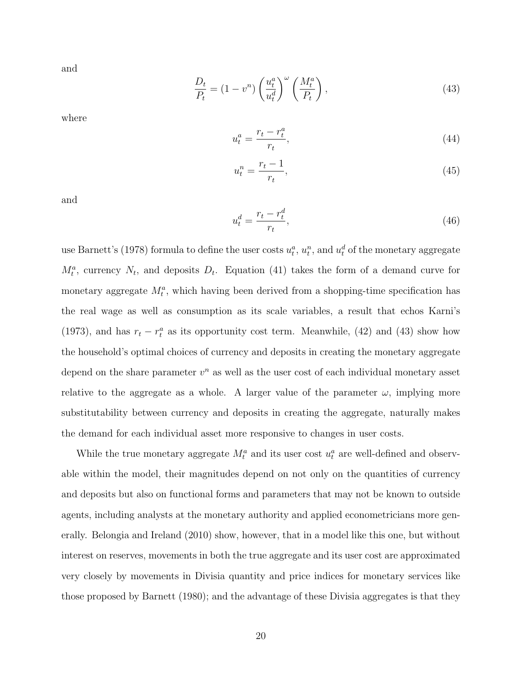and

$$
\frac{D_t}{P_t} = (1 - v^n) \left(\frac{u_t^a}{u_t^d}\right)^\omega \left(\frac{M_t^a}{P_t}\right),\tag{43}
$$

where

$$
u_t^a = \frac{r_t - r_t^a}{r_t},\tag{44}
$$

$$
u_t^n = \frac{r_t - 1}{r_t},\tag{45}
$$

and

$$
u_t^d = \frac{r_t - r_t^d}{r_t},\tag{46}
$$

use Barnett's (1978) formula to define the user costs  $u_t^a$ ,  $u_t^n$ , and  $u_t^d$  of the monetary aggregate  $M_t^a$ , currency  $N_t$ , and deposits  $D_t$ . Equation (41) takes the form of a demand curve for monetary aggregate  $M_t^a$ , which having been derived from a shopping-time specification has the real wage as well as consumption as its scale variables, a result that echos Karni's (1973), and has  $r_t - r_t^a$  as its opportunity cost term. Meanwhile, (42) and (43) show how the household's optimal choices of currency and deposits in creating the monetary aggregate depend on the share parameter  $v^n$  as well as the user cost of each individual monetary asset relative to the aggregate as a whole. A larger value of the parameter  $\omega$ , implying more substitutability between currency and deposits in creating the aggregate, naturally makes the demand for each individual asset more responsive to changes in user costs.

While the true monetary aggregate  $M_t^a$  and its user cost  $u_t^a$  are well-defined and observable within the model, their magnitudes depend on not only on the quantities of currency and deposits but also on functional forms and parameters that may not be known to outside agents, including analysts at the monetary authority and applied econometricians more generally. Belongia and Ireland (2010) show, however, that in a model like this one, but without interest on reserves, movements in both the true aggregate and its user cost are approximated very closely by movements in Divisia quantity and price indices for monetary services like those proposed by Barnett (1980); and the advantage of these Divisia aggregates is that they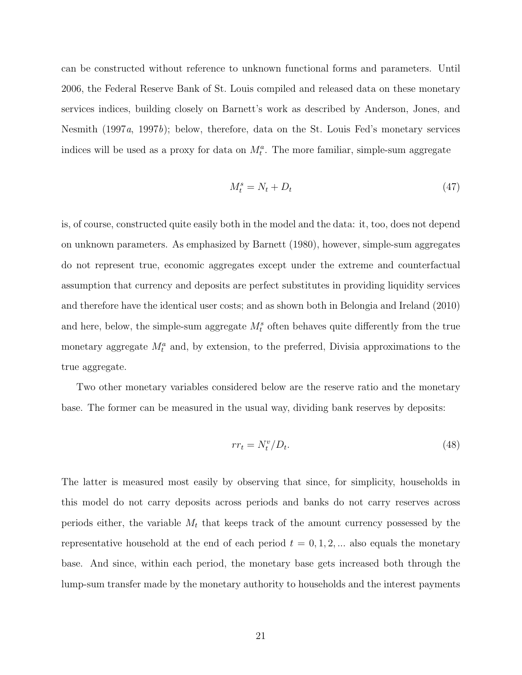can be constructed without reference to unknown functional forms and parameters. Until 2006, the Federal Reserve Bank of St. Louis compiled and released data on these monetary services indices, building closely on Barnett's work as described by Anderson, Jones, and Nesmith (1997*a*, 1997*b*); below, therefore, data on the St. Louis Fed's monetary services indices will be used as a proxy for data on  $M_t^a$ . The more familiar, simple-sum aggregate

$$
M_t^s = N_t + D_t \tag{47}
$$

is, of course, constructed quite easily both in the model and the data: it, too, does not depend on unknown parameters. As emphasized by Barnett (1980), however, simple-sum aggregates do not represent true, economic aggregates except under the extreme and counterfactual assumption that currency and deposits are perfect substitutes in providing liquidity services and therefore have the identical user costs; and as shown both in Belongia and Ireland (2010) and here, below, the simple-sum aggregate  $M_t^s$  often behaves quite differently from the true monetary aggregate  $M_t^a$  and, by extension, to the preferred, Divisia approximations to the true aggregate.

Two other monetary variables considered below are the reserve ratio and the monetary base. The former can be measured in the usual way, dividing bank reserves by deposits:

$$
rr_t = N_t^v / D_t. \tag{48}
$$

The latter is measured most easily by observing that since, for simplicity, households in this model do not carry deposits across periods and banks do not carry reserves across periods either, the variable  $M_t$  that keeps track of the amount currency possessed by the representative household at the end of each period  $t = 0, 1, 2, ...$  also equals the monetary base. And since, within each period, the monetary base gets increased both through the lump-sum transfer made by the monetary authority to households and the interest payments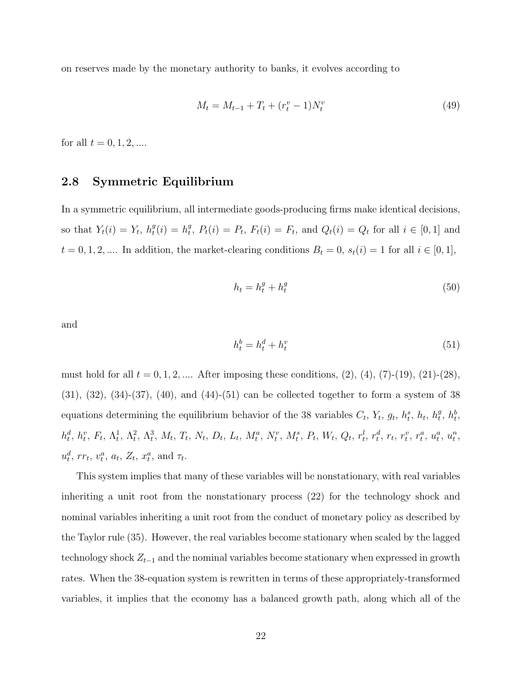on reserves made by the monetary authority to banks, it evolves according to

$$
M_t = M_{t-1} + T_t + (r_t^v - 1)N_t^v
$$
\n(49)

for all  $t = 0, 1, 2, ...$ 

#### 2.8 Symmetric Equilibrium

In a symmetric equilibrium, all intermediate goods-producing firms make identical decisions, so that  $Y_t(i) = Y_t$ ,  $h_t^g$  $t^{g}(i) = h^{g}_{t}$  $t_t^g$ ,  $P_t(i) = P_t$ ,  $F_t(i) = F_t$ , and  $Q_t(i) = Q_t$  for all  $i \in [0,1]$  and  $t = 0, 1, 2, \dots$  In addition, the market-clearing conditions  $B_t = 0$ ,  $s_t(i) = 1$  for all  $i \in [0, 1]$ ,

$$
h_t = h_t^g + h_t^g \tag{50}
$$

and

$$
h_t^b = h_t^d + h_t^v \tag{51}
$$

must hold for all  $t = 0, 1, 2, ...$  After imposing these conditions, (2), (4), (7)-(19), (21)-(28),  $(31), (32), (34)-(37), (40),$  and  $(44)-(51)$  can be collected together to form a system of 38 equations determining the equilibrium behavior of the 38 variables  $C_t$ ,  $Y_t$ ,  $g_t$ ,  $h_t^s$ ,  $h_t$ ,  $h_t^{\theta}$  $\frac{g}{t}$ ,  $h_t^b$ ,  $h_t^d, h_t^v, F_t, \Lambda_t^1, \Lambda_t^2, \Lambda_t^3, M_t, T_t, N_t, D_t, L_t, M_t^a, N_t^v, M_t^s, P_t, W_t, Q_t, r_t^l, r_t^d, r_t, r_t^v, r_t^a, u_t^a, u_t^n,$  $u_t^d$ ,  $rr_t$ ,  $v_t^a$ ,  $a_t$ ,  $Z_t$ ,  $x_t^a$ , and  $\tau_t$ .

This system implies that many of these variables will be nonstationary, with real variables inheriting a unit root from the nonstationary process (22) for the technology shock and nominal variables inheriting a unit root from the conduct of monetary policy as described by the Taylor rule (35). However, the real variables become stationary when scaled by the lagged technology shock  $Z_{t-1}$  and the nominal variables become stationary when expressed in growth rates. When the 38-equation system is rewritten in terms of these appropriately-transformed variables, it implies that the economy has a balanced growth path, along which all of the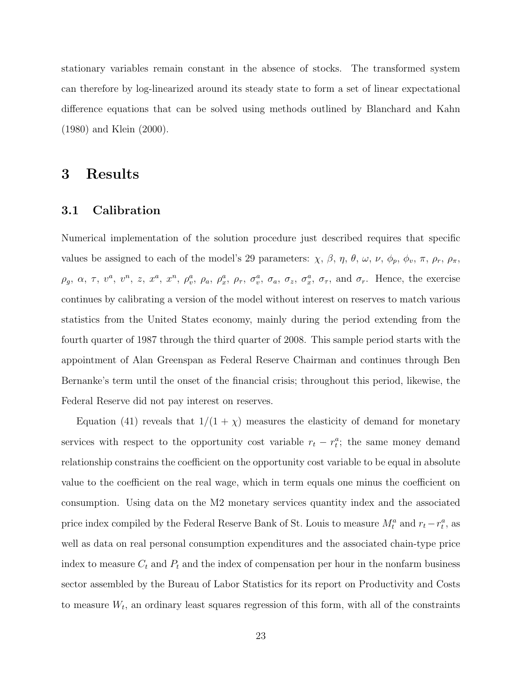stationary variables remain constant in the absence of stocks. The transformed system can therefore by log-linearized around its steady state to form a set of linear expectational difference equations that can be solved using methods outlined by Blanchard and Kahn (1980) and Klein (2000).

### 3 Results

#### 3.1 Calibration

Numerical implementation of the solution procedure just described requires that specific values be assigned to each of the model's 29 parameters:  $\chi$ ,  $\beta$ ,  $\eta$ ,  $\theta$ ,  $\omega$ ,  $\nu$ ,  $\phi_p$ ,  $\phi_v$ ,  $\pi$ ,  $\rho_r$ ,  $\rho_{\pi}$ ,  $\rho_g$ ,  $\alpha$ ,  $\tau$ ,  $v^a$ ,  $v^n$ ,  $z$ ,  $x^a$ ,  $x^n$ ,  $\rho_{v}^a$ ,  $\rho_a$ ,  $\rho_{x}^a$ ,  $\rho_{\tau}$ ,  $\sigma_{v}^a$ ,  $\sigma_a$ ,  $\sigma_z$ ,  $\sigma_{x}^a$ ,  $\sigma_{\tau}$ , and  $\sigma_r$ . Hence, the exercise continues by calibrating a version of the model without interest on reserves to match various statistics from the United States economy, mainly during the period extending from the fourth quarter of 1987 through the third quarter of 2008. This sample period starts with the appointment of Alan Greenspan as Federal Reserve Chairman and continues through Ben Bernanke's term until the onset of the financial crisis; throughout this period, likewise, the Federal Reserve did not pay interest on reserves.

Equation (41) reveals that  $1/(1 + \chi)$  measures the elasticity of demand for monetary services with respect to the opportunity cost variable  $r_t - r_t^a$ ; the same money demand relationship constrains the coefficient on the opportunity cost variable to be equal in absolute value to the coefficient on the real wage, which in term equals one minus the coefficient on consumption. Using data on the M2 monetary services quantity index and the associated price index compiled by the Federal Reserve Bank of St. Louis to measure  $M_t^a$  and  $r_t - r_t^a$ , as well as data on real personal consumption expenditures and the associated chain-type price index to measure  $C_t$  and  $P_t$  and the index of compensation per hour in the nonfarm business sector assembled by the Bureau of Labor Statistics for its report on Productivity and Costs to measure  $W_t$ , an ordinary least squares regression of this form, with all of the constraints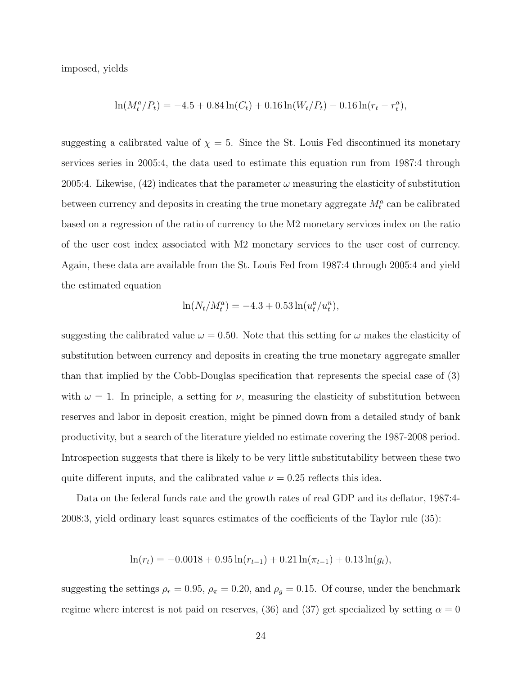imposed, yields

$$
\ln(M_t^a/P_t) = -4.5 + 0.84 \ln(C_t) + 0.16 \ln(W_t/P_t) - 0.16 \ln(r_t - r_t^a),
$$

suggesting a calibrated value of  $\chi = 5$ . Since the St. Louis Fed discontinued its monetary services series in 2005:4, the data used to estimate this equation run from 1987:4 through 2005:4. Likewise, (42) indicates that the parameter  $\omega$  measuring the elasticity of substitution between currency and deposits in creating the true monetary aggregate  $M_t^a$  can be calibrated based on a regression of the ratio of currency to the M2 monetary services index on the ratio of the user cost index associated with M2 monetary services to the user cost of currency. Again, these data are available from the St. Louis Fed from 1987:4 through 2005:4 and yield the estimated equation

$$
\ln(N_t/M_t^a) = -4.3 + 0.53 \ln(u_t^a/u_t^n),
$$

suggesting the calibrated value  $\omega = 0.50$ . Note that this setting for  $\omega$  makes the elasticity of substitution between currency and deposits in creating the true monetary aggregate smaller than that implied by the Cobb-Douglas specification that represents the special case of (3) with  $\omega = 1$ . In principle, a setting for  $\nu$ , measuring the elasticity of substitution between reserves and labor in deposit creation, might be pinned down from a detailed study of bank productivity, but a search of the literature yielded no estimate covering the 1987-2008 period. Introspection suggests that there is likely to be very little substitutability between these two quite different inputs, and the calibrated value  $\nu = 0.25$  reflects this idea.

Data on the federal funds rate and the growth rates of real GDP and its deflator, 1987:4- 2008:3, yield ordinary least squares estimates of the coefficients of the Taylor rule (35):

$$
\ln(r_t) = -0.0018 + 0.95 \ln(r_{t-1}) + 0.21 \ln(\pi_{t-1}) + 0.13 \ln(g_t),
$$

suggesting the settings  $\rho_r = 0.95$ ,  $\rho_{\pi} = 0.20$ , and  $\rho_g = 0.15$ . Of course, under the benchmark regime where interest is not paid on reserves, (36) and (37) get specialized by setting  $\alpha = 0$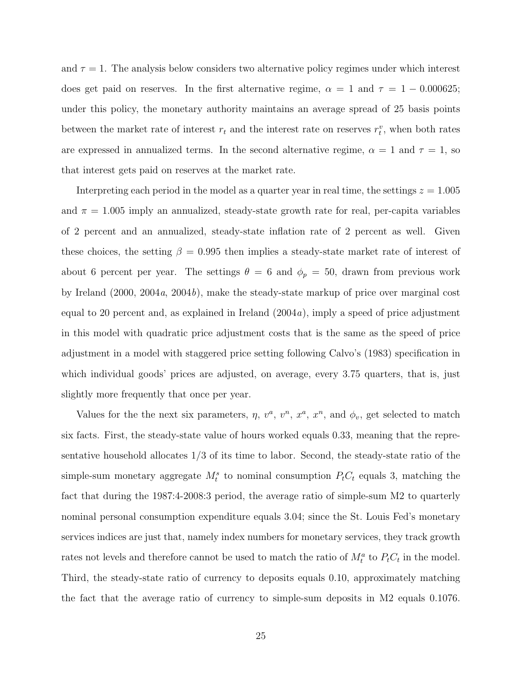and  $\tau = 1$ . The analysis below considers two alternative policy regimes under which interest does get paid on reserves. In the first alternative regime,  $\alpha = 1$  and  $\tau = 1 - 0.000625$ ; under this policy, the monetary authority maintains an average spread of 25 basis points between the market rate of interest  $r_t$  and the interest rate on reserves  $r_t^v$ , when both rates are expressed in annualized terms. In the second alternative regime,  $\alpha = 1$  and  $\tau = 1$ , so that interest gets paid on reserves at the market rate.

Interpreting each period in the model as a quarter year in real time, the settings  $z = 1.005$ and  $\pi = 1.005$  imply an annualized, steady-state growth rate for real, per-capita variables of 2 percent and an annualized, steady-state inflation rate of 2 percent as well. Given these choices, the setting  $\beta = 0.995$  then implies a steady-state market rate of interest of about 6 percent per year. The settings  $\theta = 6$  and  $\phi_p = 50$ , drawn from previous work by Ireland (2000, 2004a, 2004b), make the steady-state markup of price over marginal cost equal to 20 percent and, as explained in Ireland  $(2004a)$ , imply a speed of price adjustment in this model with quadratic price adjustment costs that is the same as the speed of price adjustment in a model with staggered price setting following Calvo's (1983) specification in which individual goods' prices are adjusted, on average, every 3.75 quarters, that is, just slightly more frequently that once per year.

Values for the the next six parameters,  $\eta$ ,  $v^a$ ,  $v^n$ ,  $x^a$ ,  $x^n$ , and  $\phi_v$ , get selected to match six facts. First, the steady-state value of hours worked equals 0.33, meaning that the representative household allocates 1/3 of its time to labor. Second, the steady-state ratio of the simple-sum monetary aggregate  $M_t^s$  to nominal consumption  $P_tC_t$  equals 3, matching the fact that during the 1987:4-2008:3 period, the average ratio of simple-sum M2 to quarterly nominal personal consumption expenditure equals 3.04; since the St. Louis Fed's monetary services indices are just that, namely index numbers for monetary services, they track growth rates not levels and therefore cannot be used to match the ratio of  $M_t^a$  to  $P_tC_t$  in the model. Third, the steady-state ratio of currency to deposits equals 0.10, approximately matching the fact that the average ratio of currency to simple-sum deposits in M2 equals 0.1076.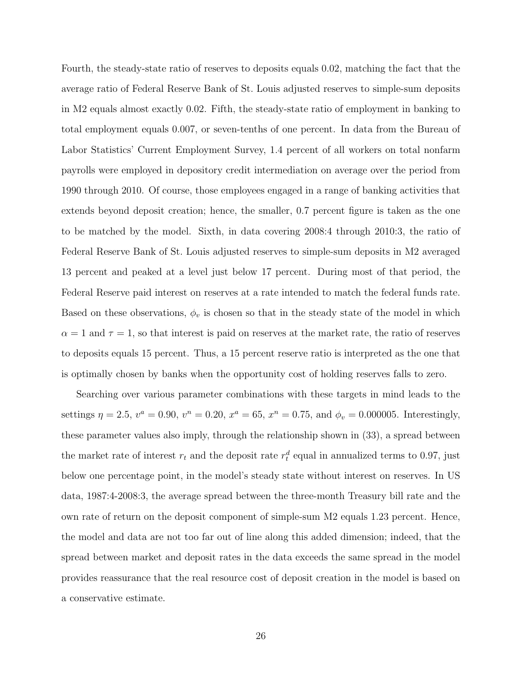Fourth, the steady-state ratio of reserves to deposits equals 0.02, matching the fact that the average ratio of Federal Reserve Bank of St. Louis adjusted reserves to simple-sum deposits in M2 equals almost exactly 0.02. Fifth, the steady-state ratio of employment in banking to total employment equals 0.007, or seven-tenths of one percent. In data from the Bureau of Labor Statistics' Current Employment Survey, 1.4 percent of all workers on total nonfarm payrolls were employed in depository credit intermediation on average over the period from 1990 through 2010. Of course, those employees engaged in a range of banking activities that extends beyond deposit creation; hence, the smaller, 0.7 percent figure is taken as the one to be matched by the model. Sixth, in data covering 2008:4 through 2010:3, the ratio of Federal Reserve Bank of St. Louis adjusted reserves to simple-sum deposits in M2 averaged 13 percent and peaked at a level just below 17 percent. During most of that period, the Federal Reserve paid interest on reserves at a rate intended to match the federal funds rate. Based on these observations,  $\phi_v$  is chosen so that in the steady state of the model in which  $\alpha = 1$  and  $\tau = 1$ , so that interest is paid on reserves at the market rate, the ratio of reserves to deposits equals 15 percent. Thus, a 15 percent reserve ratio is interpreted as the one that is optimally chosen by banks when the opportunity cost of holding reserves falls to zero.

Searching over various parameter combinations with these targets in mind leads to the settings  $\eta = 2.5$ ,  $v^a = 0.90$ ,  $v^n = 0.20$ ,  $x^a = 65$ ,  $x^n = 0.75$ , and  $\phi_v = 0.000005$ . Interestingly, these parameter values also imply, through the relationship shown in (33), a spread between the market rate of interest  $r_t$  and the deposit rate  $r_t^d$  equal in annualized terms to 0.97, just below one percentage point, in the model's steady state without interest on reserves. In US data, 1987:4-2008:3, the average spread between the three-month Treasury bill rate and the own rate of return on the deposit component of simple-sum M2 equals 1.23 percent. Hence, the model and data are not too far out of line along this added dimension; indeed, that the spread between market and deposit rates in the data exceeds the same spread in the model provides reassurance that the real resource cost of deposit creation in the model is based on a conservative estimate.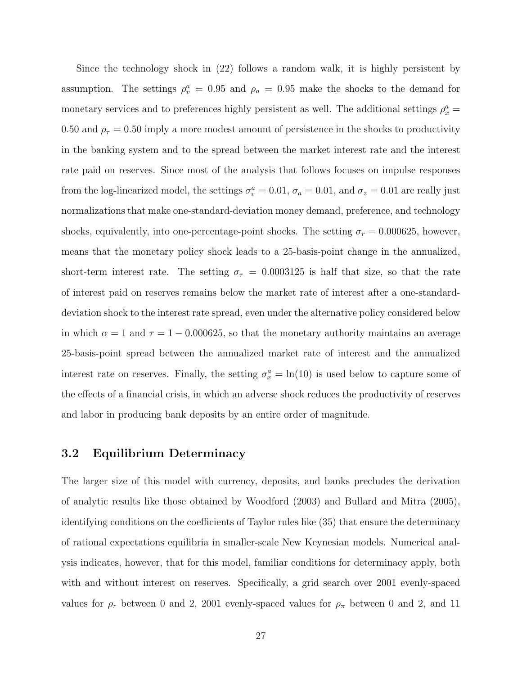Since the technology shock in (22) follows a random walk, it is highly persistent by assumption. The settings  $\rho_v^a = 0.95$  and  $\rho_a = 0.95$  make the shocks to the demand for monetary services and to preferences highly persistent as well. The additional settings  $\rho_x^a$  = 0.50 and  $\rho_{\tau} = 0.50$  imply a more modest amount of persistence in the shocks to productivity in the banking system and to the spread between the market interest rate and the interest rate paid on reserves. Since most of the analysis that follows focuses on impulse responses from the log-linearized model, the settings  $\sigma_v^a = 0.01$ ,  $\sigma_a = 0.01$ , and  $\sigma_z = 0.01$  are really just normalizations that make one-standard-deviation money demand, preference, and technology shocks, equivalently, into one-percentage-point shocks. The setting  $\sigma_r = 0.000625$ , however, means that the monetary policy shock leads to a 25-basis-point change in the annualized, short-term interest rate. The setting  $\sigma_{\tau} = 0.0003125$  is half that size, so that the rate of interest paid on reserves remains below the market rate of interest after a one-standarddeviation shock to the interest rate spread, even under the alternative policy considered below in which  $\alpha = 1$  and  $\tau = 1 - 0.000625$ , so that the monetary authority maintains an average 25-basis-point spread between the annualized market rate of interest and the annualized interest rate on reserves. Finally, the setting  $\sigma_x^a = \ln(10)$  is used below to capture some of the effects of a financial crisis, in which an adverse shock reduces the productivity of reserves and labor in producing bank deposits by an entire order of magnitude.

#### 3.2 Equilibrium Determinacy

The larger size of this model with currency, deposits, and banks precludes the derivation of analytic results like those obtained by Woodford (2003) and Bullard and Mitra (2005), identifying conditions on the coefficients of Taylor rules like (35) that ensure the determinacy of rational expectations equilibria in smaller-scale New Keynesian models. Numerical analysis indicates, however, that for this model, familiar conditions for determinacy apply, both with and without interest on reserves. Specifically, a grid search over 2001 evenly-spaced values for  $\rho_r$  between 0 and 2, 2001 evenly-spaced values for  $\rho_{\pi}$  between 0 and 2, and 11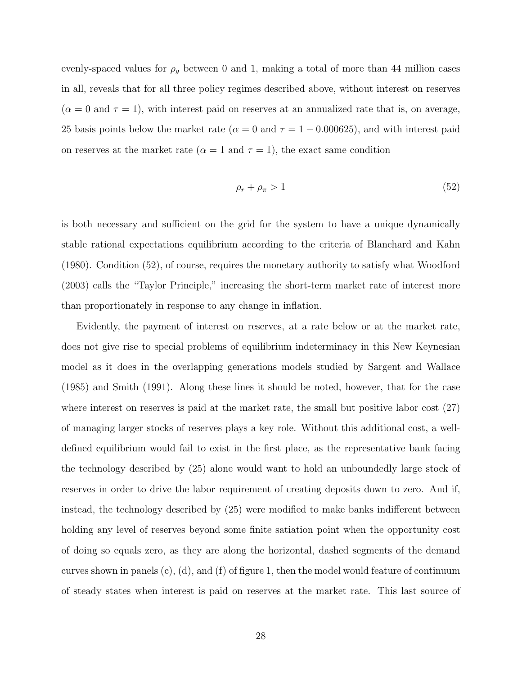evenly-spaced values for  $\rho_g$  between 0 and 1, making a total of more than 44 million cases in all, reveals that for all three policy regimes described above, without interest on reserves  $(\alpha = 0 \text{ and } \tau = 1)$ , with interest paid on reserves at an annualized rate that is, on average, 25 basis points below the market rate ( $\alpha = 0$  and  $\tau = 1 - 0.000625$ ), and with interest paid on reserves at the market rate ( $\alpha = 1$  and  $\tau = 1$ ), the exact same condition

$$
\rho_r + \rho_\pi > 1 \tag{52}
$$

is both necessary and sufficient on the grid for the system to have a unique dynamically stable rational expectations equilibrium according to the criteria of Blanchard and Kahn (1980). Condition (52), of course, requires the monetary authority to satisfy what Woodford (2003) calls the "Taylor Principle," increasing the short-term market rate of interest more than proportionately in response to any change in inflation.

Evidently, the payment of interest on reserves, at a rate below or at the market rate, does not give rise to special problems of equilibrium indeterminacy in this New Keynesian model as it does in the overlapping generations models studied by Sargent and Wallace (1985) and Smith (1991). Along these lines it should be noted, however, that for the case where interest on reserves is paid at the market rate, the small but positive labor cost (27) of managing larger stocks of reserves plays a key role. Without this additional cost, a welldefined equilibrium would fail to exist in the first place, as the representative bank facing the technology described by (25) alone would want to hold an unboundedly large stock of reserves in order to drive the labor requirement of creating deposits down to zero. And if, instead, the technology described by (25) were modified to make banks indifferent between holding any level of reserves beyond some finite satiation point when the opportunity cost of doing so equals zero, as they are along the horizontal, dashed segments of the demand curves shown in panels  $(c)$ ,  $(d)$ , and  $(f)$  of figure 1, then the model would feature of continuum of steady states when interest is paid on reserves at the market rate. This last source of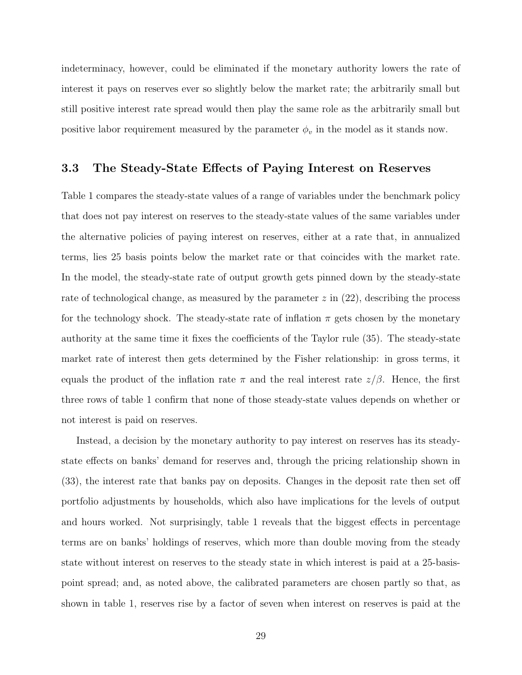indeterminacy, however, could be eliminated if the monetary authority lowers the rate of interest it pays on reserves ever so slightly below the market rate; the arbitrarily small but still positive interest rate spread would then play the same role as the arbitrarily small but positive labor requirement measured by the parameter  $\phi_v$  in the model as it stands now.

#### 3.3 The Steady-State Effects of Paying Interest on Reserves

Table 1 compares the steady-state values of a range of variables under the benchmark policy that does not pay interest on reserves to the steady-state values of the same variables under the alternative policies of paying interest on reserves, either at a rate that, in annualized terms, lies 25 basis points below the market rate or that coincides with the market rate. In the model, the steady-state rate of output growth gets pinned down by the steady-state rate of technological change, as measured by the parameter  $z$  in  $(22)$ , describing the process for the technology shock. The steady-state rate of inflation  $\pi$  gets chosen by the monetary authority at the same time it fixes the coefficients of the Taylor rule (35). The steady-state market rate of interest then gets determined by the Fisher relationship: in gross terms, it equals the product of the inflation rate  $\pi$  and the real interest rate  $z/\beta$ . Hence, the first three rows of table 1 confirm that none of those steady-state values depends on whether or not interest is paid on reserves.

Instead, a decision by the monetary authority to pay interest on reserves has its steadystate effects on banks' demand for reserves and, through the pricing relationship shown in (33), the interest rate that banks pay on deposits. Changes in the deposit rate then set off portfolio adjustments by households, which also have implications for the levels of output and hours worked. Not surprisingly, table 1 reveals that the biggest effects in percentage terms are on banks' holdings of reserves, which more than double moving from the steady state without interest on reserves to the steady state in which interest is paid at a 25-basispoint spread; and, as noted above, the calibrated parameters are chosen partly so that, as shown in table 1, reserves rise by a factor of seven when interest on reserves is paid at the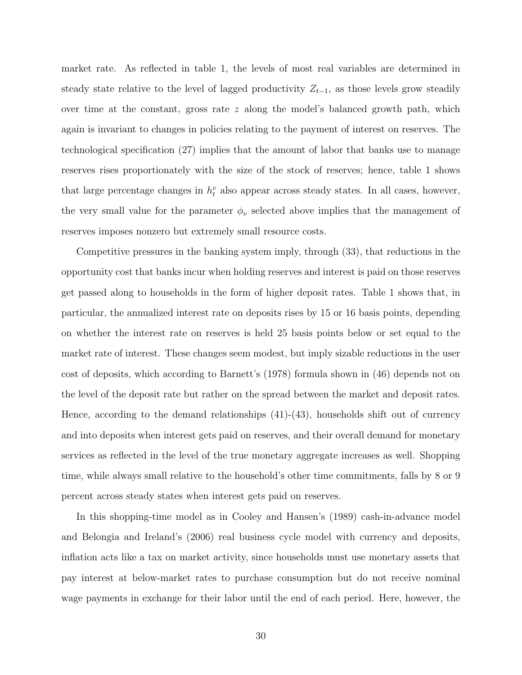market rate. As reflected in table 1, the levels of most real variables are determined in steady state relative to the level of lagged productivity  $Z_{t-1}$ , as those levels grow steadily over time at the constant, gross rate  $z$  along the model's balanced growth path, which again is invariant to changes in policies relating to the payment of interest on reserves. The technological specification (27) implies that the amount of labor that banks use to manage reserves rises proportionately with the size of the stock of reserves; hence, table 1 shows that large percentage changes in  $h_t^v$  also appear across steady states. In all cases, however, the very small value for the parameter  $\phi_v$  selected above implies that the management of reserves imposes nonzero but extremely small resource costs.

Competitive pressures in the banking system imply, through (33), that reductions in the opportunity cost that banks incur when holding reserves and interest is paid on those reserves get passed along to households in the form of higher deposit rates. Table 1 shows that, in particular, the annualized interest rate on deposits rises by 15 or 16 basis points, depending on whether the interest rate on reserves is held 25 basis points below or set equal to the market rate of interest. These changes seem modest, but imply sizable reductions in the user cost of deposits, which according to Barnett's (1978) formula shown in (46) depends not on the level of the deposit rate but rather on the spread between the market and deposit rates. Hence, according to the demand relationships  $(41)-(43)$ , households shift out of currency and into deposits when interest gets paid on reserves, and their overall demand for monetary services as reflected in the level of the true monetary aggregate increases as well. Shopping time, while always small relative to the household's other time commitments, falls by 8 or 9 percent across steady states when interest gets paid on reserves.

In this shopping-time model as in Cooley and Hansen's (1989) cash-in-advance model and Belongia and Ireland's (2006) real business cycle model with currency and deposits, inflation acts like a tax on market activity, since households must use monetary assets that pay interest at below-market rates to purchase consumption but do not receive nominal wage payments in exchange for their labor until the end of each period. Here, however, the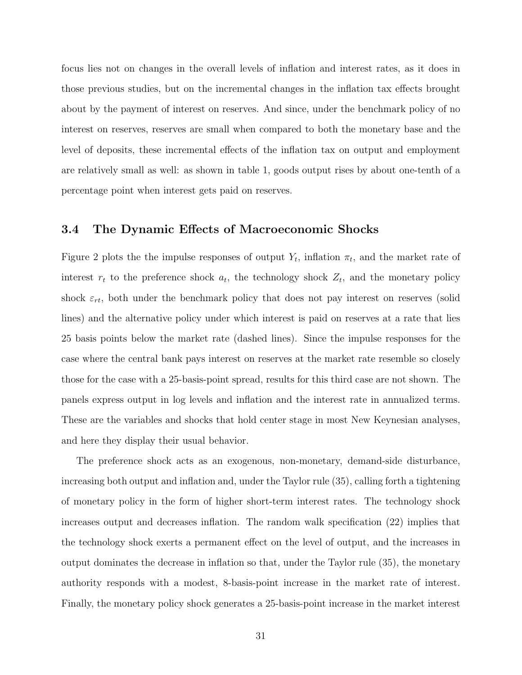focus lies not on changes in the overall levels of inflation and interest rates, as it does in those previous studies, but on the incremental changes in the inflation tax effects brought about by the payment of interest on reserves. And since, under the benchmark policy of no interest on reserves, reserves are small when compared to both the monetary base and the level of deposits, these incremental effects of the inflation tax on output and employment are relatively small as well: as shown in table 1, goods output rises by about one-tenth of a percentage point when interest gets paid on reserves.

#### 3.4 The Dynamic Effects of Macroeconomic Shocks

Figure 2 plots the the impulse responses of output  $Y_t$ , inflation  $\pi_t$ , and the market rate of interest  $r_t$  to the preference shock  $a_t$ , the technology shock  $Z_t$ , and the monetary policy shock  $\varepsilon_{rt}$ , both under the benchmark policy that does not pay interest on reserves (solid lines) and the alternative policy under which interest is paid on reserves at a rate that lies 25 basis points below the market rate (dashed lines). Since the impulse responses for the case where the central bank pays interest on reserves at the market rate resemble so closely those for the case with a 25-basis-point spread, results for this third case are not shown. The panels express output in log levels and inflation and the interest rate in annualized terms. These are the variables and shocks that hold center stage in most New Keynesian analyses, and here they display their usual behavior.

The preference shock acts as an exogenous, non-monetary, demand-side disturbance, increasing both output and inflation and, under the Taylor rule (35), calling forth a tightening of monetary policy in the form of higher short-term interest rates. The technology shock increases output and decreases inflation. The random walk specification (22) implies that the technology shock exerts a permanent effect on the level of output, and the increases in output dominates the decrease in inflation so that, under the Taylor rule (35), the monetary authority responds with a modest, 8-basis-point increase in the market rate of interest. Finally, the monetary policy shock generates a 25-basis-point increase in the market interest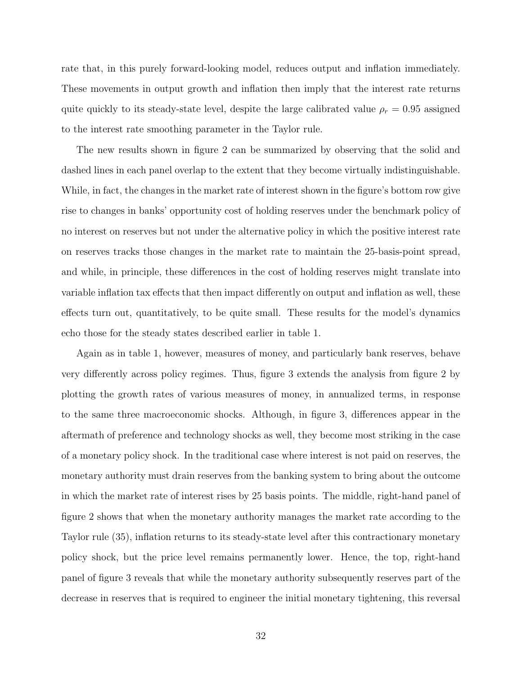rate that, in this purely forward-looking model, reduces output and inflation immediately. These movements in output growth and inflation then imply that the interest rate returns quite quickly to its steady-state level, despite the large calibrated value  $\rho_r = 0.95$  assigned to the interest rate smoothing parameter in the Taylor rule.

The new results shown in figure 2 can be summarized by observing that the solid and dashed lines in each panel overlap to the extent that they become virtually indistinguishable. While, in fact, the changes in the market rate of interest shown in the figure's bottom row give rise to changes in banks' opportunity cost of holding reserves under the benchmark policy of no interest on reserves but not under the alternative policy in which the positive interest rate on reserves tracks those changes in the market rate to maintain the 25-basis-point spread, and while, in principle, these differences in the cost of holding reserves might translate into variable inflation tax effects that then impact differently on output and inflation as well, these effects turn out, quantitatively, to be quite small. These results for the model's dynamics echo those for the steady states described earlier in table 1.

Again as in table 1, however, measures of money, and particularly bank reserves, behave very differently across policy regimes. Thus, figure 3 extends the analysis from figure 2 by plotting the growth rates of various measures of money, in annualized terms, in response to the same three macroeconomic shocks. Although, in figure 3, differences appear in the aftermath of preference and technology shocks as well, they become most striking in the case of a monetary policy shock. In the traditional case where interest is not paid on reserves, the monetary authority must drain reserves from the banking system to bring about the outcome in which the market rate of interest rises by 25 basis points. The middle, right-hand panel of figure 2 shows that when the monetary authority manages the market rate according to the Taylor rule (35), inflation returns to its steady-state level after this contractionary monetary policy shock, but the price level remains permanently lower. Hence, the top, right-hand panel of figure 3 reveals that while the monetary authority subsequently reserves part of the decrease in reserves that is required to engineer the initial monetary tightening, this reversal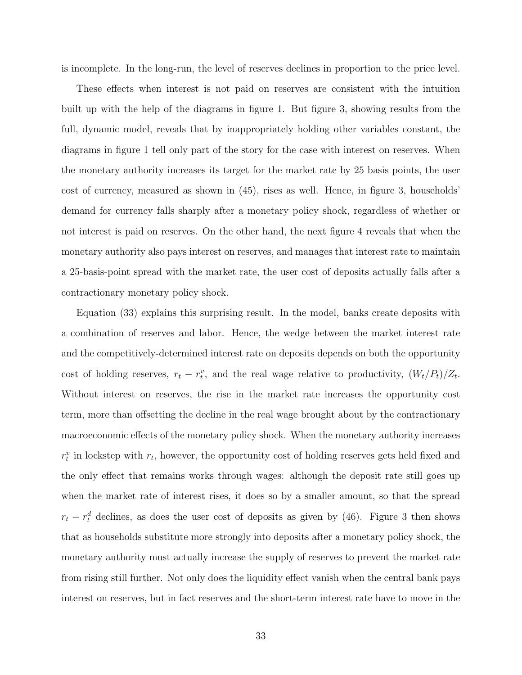is incomplete. In the long-run, the level of reserves declines in proportion to the price level.

These effects when interest is not paid on reserves are consistent with the intuition built up with the help of the diagrams in figure 1. But figure 3, showing results from the full, dynamic model, reveals that by inappropriately holding other variables constant, the diagrams in figure 1 tell only part of the story for the case with interest on reserves. When the monetary authority increases its target for the market rate by 25 basis points, the user cost of currency, measured as shown in (45), rises as well. Hence, in figure 3, households' demand for currency falls sharply after a monetary policy shock, regardless of whether or not interest is paid on reserves. On the other hand, the next figure 4 reveals that when the monetary authority also pays interest on reserves, and manages that interest rate to maintain a 25-basis-point spread with the market rate, the user cost of deposits actually falls after a contractionary monetary policy shock.

Equation (33) explains this surprising result. In the model, banks create deposits with a combination of reserves and labor. Hence, the wedge between the market interest rate and the competitively-determined interest rate on deposits depends on both the opportunity cost of holding reserves,  $r_t - r_t^v$ , and the real wage relative to productivity,  $(W_t/P_t)/Z_t$ . Without interest on reserves, the rise in the market rate increases the opportunity cost term, more than offsetting the decline in the real wage brought about by the contractionary macroeconomic effects of the monetary policy shock. When the monetary authority increases  $r_t^v$  in lockstep with  $r_t$ , however, the opportunity cost of holding reserves gets held fixed and the only effect that remains works through wages: although the deposit rate still goes up when the market rate of interest rises, it does so by a smaller amount, so that the spread  $r_t - r_t^d$  declines, as does the user cost of deposits as given by (46). Figure 3 then shows that as households substitute more strongly into deposits after a monetary policy shock, the monetary authority must actually increase the supply of reserves to prevent the market rate from rising still further. Not only does the liquidity effect vanish when the central bank pays interest on reserves, but in fact reserves and the short-term interest rate have to move in the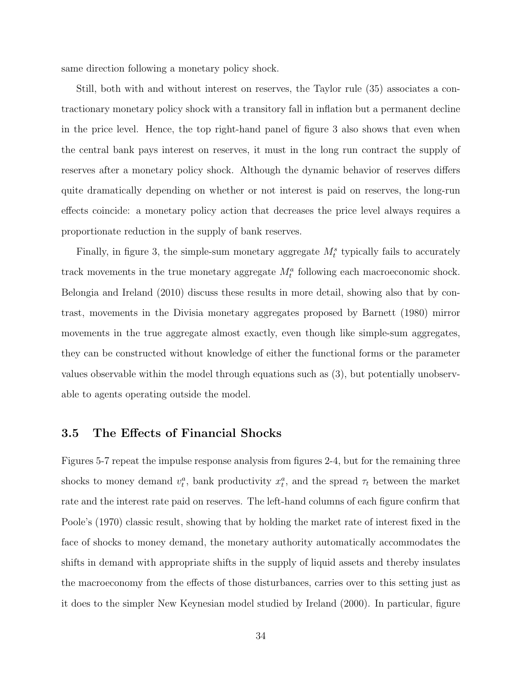same direction following a monetary policy shock.

Still, both with and without interest on reserves, the Taylor rule (35) associates a contractionary monetary policy shock with a transitory fall in inflation but a permanent decline in the price level. Hence, the top right-hand panel of figure 3 also shows that even when the central bank pays interest on reserves, it must in the long run contract the supply of reserves after a monetary policy shock. Although the dynamic behavior of reserves differs quite dramatically depending on whether or not interest is paid on reserves, the long-run effects coincide: a monetary policy action that decreases the price level always requires a proportionate reduction in the supply of bank reserves.

Finally, in figure 3, the simple-sum monetary aggregate  $M_t^s$  typically fails to accurately track movements in the true monetary aggregate  $M_t^a$  following each macroeconomic shock. Belongia and Ireland (2010) discuss these results in more detail, showing also that by contrast, movements in the Divisia monetary aggregates proposed by Barnett (1980) mirror movements in the true aggregate almost exactly, even though like simple-sum aggregates, they can be constructed without knowledge of either the functional forms or the parameter values observable within the model through equations such as (3), but potentially unobservable to agents operating outside the model.

#### 3.5 The Effects of Financial Shocks

Figures 5-7 repeat the impulse response analysis from figures 2-4, but for the remaining three shocks to money demand  $v_t^a$ , bank productivity  $x_t^a$ , and the spread  $\tau_t$  between the market rate and the interest rate paid on reserves. The left-hand columns of each figure confirm that Poole's (1970) classic result, showing that by holding the market rate of interest fixed in the face of shocks to money demand, the monetary authority automatically accommodates the shifts in demand with appropriate shifts in the supply of liquid assets and thereby insulates the macroeconomy from the effects of those disturbances, carries over to this setting just as it does to the simpler New Keynesian model studied by Ireland (2000). In particular, figure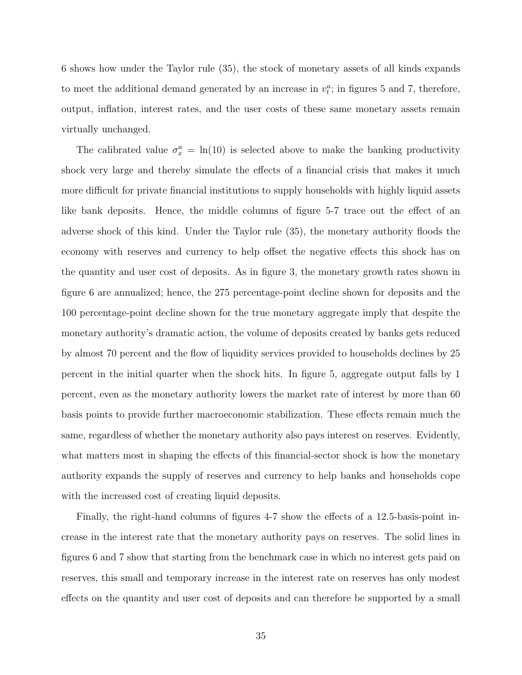6 shows how under the Taylor rule (35), the stock of monetary assets of all kinds expands to meet the additional demand generated by an increase in  $v_t^a$ ; in figures 5 and 7, therefore, output, inflation, interest rates, and the user costs of these same monetary assets remain virtually unchanged.

The calibrated value  $\sigma_x^a = \ln(10)$  is selected above to make the banking productivity shock very large and thereby simulate the effects of a financial crisis that makes it much more difficult for private financial institutions to supply households with highly liquid assets like bank deposits. Hence, the middle columns of figure 5-7 trace out the effect of an adverse shock of this kind. Under the Taylor rule (35), the monetary authority floods the economy with reserves and currency to help offset the negative effects this shock has on the quantity and user cost of deposits. As in figure 3, the monetary growth rates shown in figure 6 are annualized; hence, the 275 percentage-point decline shown for deposits and the 100 percentage-point decline shown for the true monetary aggregate imply that despite the monetary authority's dramatic action, the volume of deposits created by banks gets reduced by almost 70 percent and the flow of liquidity services provided to households declines by 25 percent in the initial quarter when the shock hits. In figure 5, aggregate output falls by 1 percent, even as the monetary authority lowers the market rate of interest by more than 60 basis points to provide further macroeconomic stabilization. These effects remain much the same, regardless of whether the monetary authority also pays interest on reserves. Evidently, what matters most in shaping the effects of this financial-sector shock is how the monetary authority expands the supply of reserves and currency to help banks and households cope with the increased cost of creating liquid deposits.

Finally, the right-hand columns of figures 4-7 show the effects of a 12.5-basis-point increase in the interest rate that the monetary authority pays on reserves. The solid lines in figures 6 and 7 show that starting from the benchmark case in which no interest gets paid on reserves, this small and temporary increase in the interest rate on reserves has only modest effects on the quantity and user cost of deposits and can therefore be supported by a small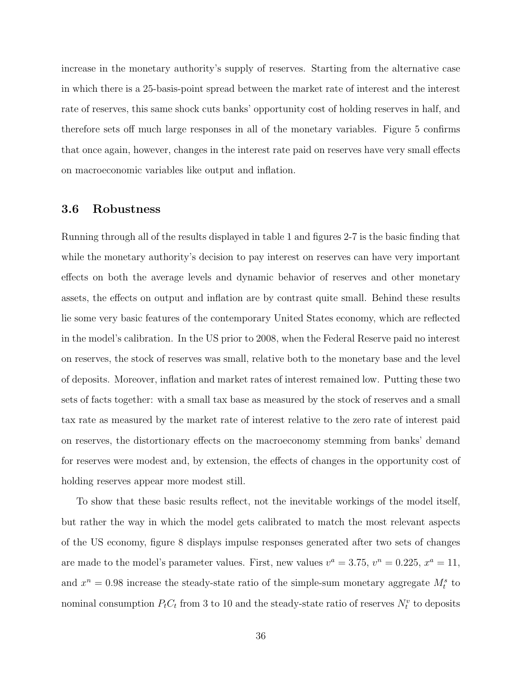increase in the monetary authority's supply of reserves. Starting from the alternative case in which there is a 25-basis-point spread between the market rate of interest and the interest rate of reserves, this same shock cuts banks' opportunity cost of holding reserves in half, and therefore sets off much large responses in all of the monetary variables. Figure 5 confirms that once again, however, changes in the interest rate paid on reserves have very small effects on macroeconomic variables like output and inflation.

### 3.6 Robustness

Running through all of the results displayed in table 1 and figures 2-7 is the basic finding that while the monetary authority's decision to pay interest on reserves can have very important effects on both the average levels and dynamic behavior of reserves and other monetary assets, the effects on output and inflation are by contrast quite small. Behind these results lie some very basic features of the contemporary United States economy, which are reflected in the model's calibration. In the US prior to 2008, when the Federal Reserve paid no interest on reserves, the stock of reserves was small, relative both to the monetary base and the level of deposits. Moreover, inflation and market rates of interest remained low. Putting these two sets of facts together: with a small tax base as measured by the stock of reserves and a small tax rate as measured by the market rate of interest relative to the zero rate of interest paid on reserves, the distortionary effects on the macroeconomy stemming from banks' demand for reserves were modest and, by extension, the effects of changes in the opportunity cost of holding reserves appear more modest still.

To show that these basic results reflect, not the inevitable workings of the model itself, but rather the way in which the model gets calibrated to match the most relevant aspects of the US economy, figure 8 displays impulse responses generated after two sets of changes are made to the model's parameter values. First, new values  $v^a = 3.75$ ,  $v^n = 0.225$ ,  $x^a = 11$ , and  $x^n = 0.98$  increase the steady-state ratio of the simple-sum monetary aggregate  $M_t^s$  to nominal consumption  $P_t C_t$  from 3 to 10 and the steady-state ratio of reserves  $N_t^v$  to deposits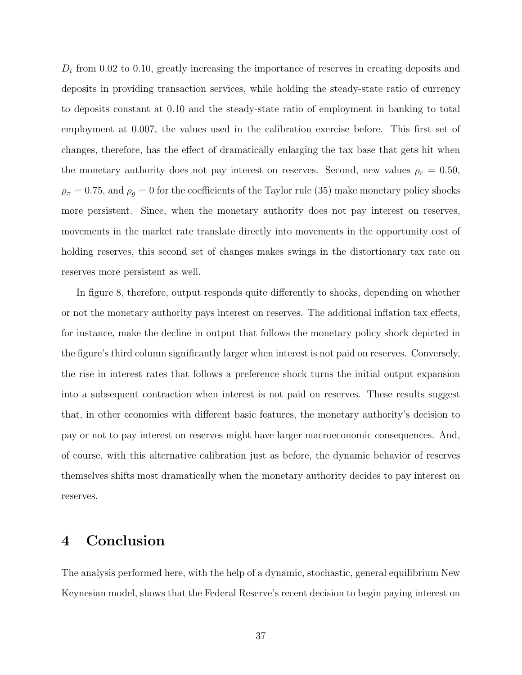$D_t$  from 0.02 to 0.10, greatly increasing the importance of reserves in creating deposits and deposits in providing transaction services, while holding the steady-state ratio of currency to deposits constant at 0.10 and the steady-state ratio of employment in banking to total employment at 0.007, the values used in the calibration exercise before. This first set of changes, therefore, has the effect of dramatically enlarging the tax base that gets hit when the monetary authority does not pay interest on reserves. Second, new values  $\rho_r = 0.50$ ,  $\rho_{\pi} = 0.75$ , and  $\rho_{g} = 0$  for the coefficients of the Taylor rule (35) make monetary policy shocks more persistent. Since, when the monetary authority does not pay interest on reserves, movements in the market rate translate directly into movements in the opportunity cost of holding reserves, this second set of changes makes swings in the distortionary tax rate on reserves more persistent as well.

In figure 8, therefore, output responds quite differently to shocks, depending on whether or not the monetary authority pays interest on reserves. The additional inflation tax effects, for instance, make the decline in output that follows the monetary policy shock depicted in the figure's third column significantly larger when interest is not paid on reserves. Conversely, the rise in interest rates that follows a preference shock turns the initial output expansion into a subsequent contraction when interest is not paid on reserves. These results suggest that, in other economies with different basic features, the monetary authority's decision to pay or not to pay interest on reserves might have larger macroeconomic consequences. And, of course, with this alternative calibration just as before, the dynamic behavior of reserves themselves shifts most dramatically when the monetary authority decides to pay interest on reserves.

## 4 Conclusion

The analysis performed here, with the help of a dynamic, stochastic, general equilibrium New Keynesian model, shows that the Federal Reserve's recent decision to begin paying interest on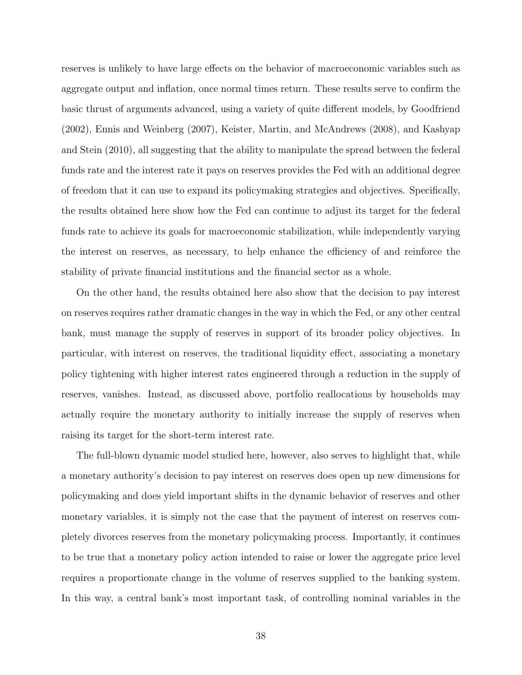reserves is unlikely to have large effects on the behavior of macroeconomic variables such as aggregate output and inflation, once normal times return. These results serve to confirm the basic thrust of arguments advanced, using a variety of quite different models, by Goodfriend (2002), Ennis and Weinberg (2007), Keister, Martin, and McAndrews (2008), and Kashyap and Stein (2010), all suggesting that the ability to manipulate the spread between the federal funds rate and the interest rate it pays on reserves provides the Fed with an additional degree of freedom that it can use to expand its policymaking strategies and objectives. Specifically, the results obtained here show how the Fed can continue to adjust its target for the federal funds rate to achieve its goals for macroeconomic stabilization, while independently varying the interest on reserves, as necessary, to help enhance the efficiency of and reinforce the stability of private financial institutions and the financial sector as a whole.

On the other hand, the results obtained here also show that the decision to pay interest on reserves requires rather dramatic changes in the way in which the Fed, or any other central bank, must manage the supply of reserves in support of its broader policy objectives. In particular, with interest on reserves, the traditional liquidity effect, associating a monetary policy tightening with higher interest rates engineered through a reduction in the supply of reserves, vanishes. Instead, as discussed above, portfolio reallocations by households may actually require the monetary authority to initially increase the supply of reserves when raising its target for the short-term interest rate.

The full-blown dynamic model studied here, however, also serves to highlight that, while a monetary authority's decision to pay interest on reserves does open up new dimensions for policymaking and does yield important shifts in the dynamic behavior of reserves and other monetary variables, it is simply not the case that the payment of interest on reserves completely divorces reserves from the monetary policymaking process. Importantly, it continues to be true that a monetary policy action intended to raise or lower the aggregate price level requires a proportionate change in the volume of reserves supplied to the banking system. In this way, a central bank's most important task, of controlling nominal variables in the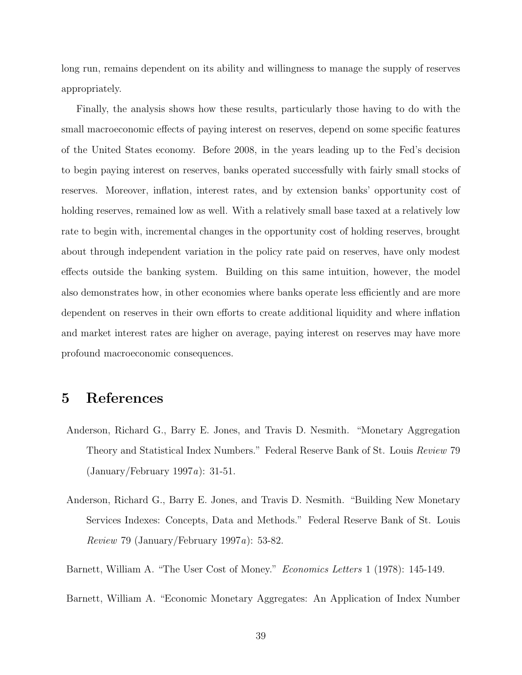long run, remains dependent on its ability and willingness to manage the supply of reserves appropriately.

Finally, the analysis shows how these results, particularly those having to do with the small macroeconomic effects of paying interest on reserves, depend on some specific features of the United States economy. Before 2008, in the years leading up to the Fed's decision to begin paying interest on reserves, banks operated successfully with fairly small stocks of reserves. Moreover, inflation, interest rates, and by extension banks' opportunity cost of holding reserves, remained low as well. With a relatively small base taxed at a relatively low rate to begin with, incremental changes in the opportunity cost of holding reserves, brought about through independent variation in the policy rate paid on reserves, have only modest effects outside the banking system. Building on this same intuition, however, the model also demonstrates how, in other economies where banks operate less efficiently and are more dependent on reserves in their own efforts to create additional liquidity and where inflation and market interest rates are higher on average, paying interest on reserves may have more profound macroeconomic consequences.

## 5 References

- Anderson, Richard G., Barry E. Jones, and Travis D. Nesmith. "Monetary Aggregation Theory and Statistical Index Numbers." Federal Reserve Bank of St. Louis Review 79 (January/February 1997a): 31-51.
- Anderson, Richard G., Barry E. Jones, and Travis D. Nesmith. "Building New Monetary Services Indexes: Concepts, Data and Methods." Federal Reserve Bank of St. Louis Review 79 (January/February 1997a): 53-82.
- Barnett, William A. "The User Cost of Money." Economics Letters 1 (1978): 145-149.
- Barnett, William A. "Economic Monetary Aggregates: An Application of Index Number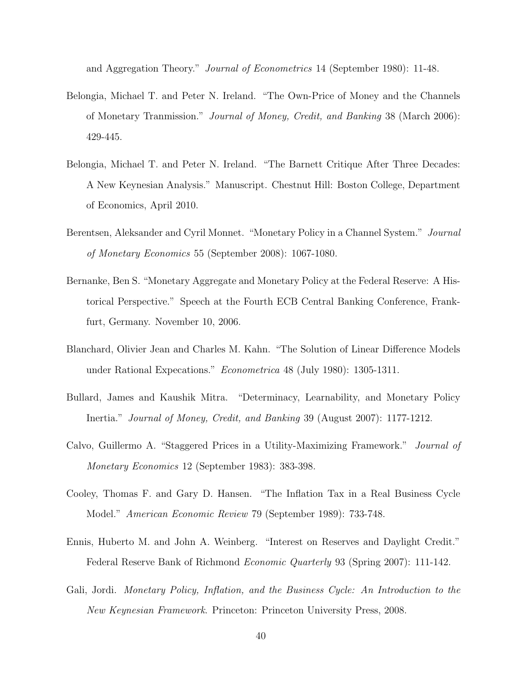and Aggregation Theory." Journal of Econometrics 14 (September 1980): 11-48.

- Belongia, Michael T. and Peter N. Ireland. "The Own-Price of Money and the Channels of Monetary Tranmission." Journal of Money, Credit, and Banking 38 (March 2006): 429-445.
- Belongia, Michael T. and Peter N. Ireland. "The Barnett Critique After Three Decades: A New Keynesian Analysis." Manuscript. Chestnut Hill: Boston College, Department of Economics, April 2010.
- Berentsen, Aleksander and Cyril Monnet. "Monetary Policy in a Channel System." Journal of Monetary Economics 55 (September 2008): 1067-1080.
- Bernanke, Ben S. "Monetary Aggregate and Monetary Policy at the Federal Reserve: A Historical Perspective." Speech at the Fourth ECB Central Banking Conference, Frankfurt, Germany. November 10, 2006.
- Blanchard, Olivier Jean and Charles M. Kahn. "The Solution of Linear Difference Models under Rational Expecations." Econometrica 48 (July 1980): 1305-1311.
- Bullard, James and Kaushik Mitra. "Determinacy, Learnability, and Monetary Policy Inertia." Journal of Money, Credit, and Banking 39 (August 2007): 1177-1212.
- Calvo, Guillermo A. "Staggered Prices in a Utility-Maximizing Framework." Journal of Monetary Economics 12 (September 1983): 383-398.
- Cooley, Thomas F. and Gary D. Hansen. "The Inflation Tax in a Real Business Cycle Model." American Economic Review 79 (September 1989): 733-748.
- Ennis, Huberto M. and John A. Weinberg. "Interest on Reserves and Daylight Credit." Federal Reserve Bank of Richmond Economic Quarterly 93 (Spring 2007): 111-142.
- Gali, Jordi. Monetary Policy, Inflation, and the Business Cycle: An Introduction to the New Keynesian Framework. Princeton: Princeton University Press, 2008.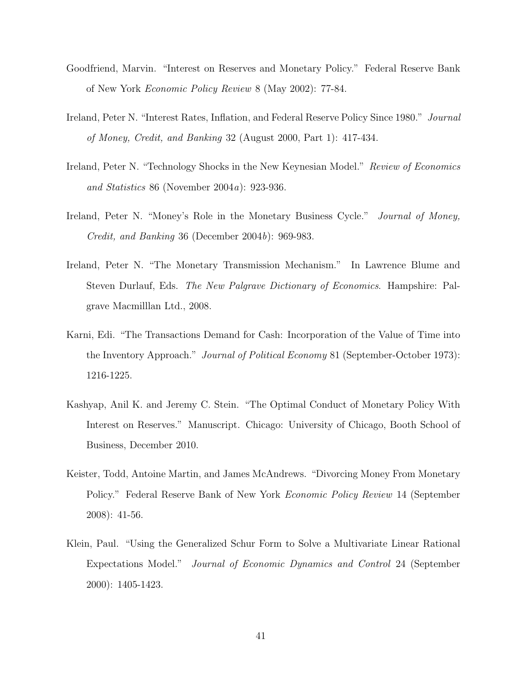- Goodfriend, Marvin. "Interest on Reserves and Monetary Policy." Federal Reserve Bank of New York Economic Policy Review 8 (May 2002): 77-84.
- Ireland, Peter N. "Interest Rates, Inflation, and Federal Reserve Policy Since 1980." Journal of Money, Credit, and Banking 32 (August 2000, Part 1): 417-434.
- Ireland, Peter N. "Technology Shocks in the New Keynesian Model." Review of Economics and Statistics 86 (November 2004a): 923-936.
- Ireland, Peter N. "Money's Role in the Monetary Business Cycle." *Journal of Money*, Credit, and Banking 36 (December 2004b): 969-983.
- Ireland, Peter N. "The Monetary Transmission Mechanism." In Lawrence Blume and Steven Durlauf, Eds. The New Palgrave Dictionary of Economics. Hampshire: Palgrave Macmilllan Ltd., 2008.
- Karni, Edi. "The Transactions Demand for Cash: Incorporation of the Value of Time into the Inventory Approach." Journal of Political Economy 81 (September-October 1973): 1216-1225.
- Kashyap, Anil K. and Jeremy C. Stein. "The Optimal Conduct of Monetary Policy With Interest on Reserves." Manuscript. Chicago: University of Chicago, Booth School of Business, December 2010.
- Keister, Todd, Antoine Martin, and James McAndrews. "Divorcing Money From Monetary Policy." Federal Reserve Bank of New York Economic Policy Review 14 (September 2008): 41-56.
- Klein, Paul. "Using the Generalized Schur Form to Solve a Multivariate Linear Rational Expectations Model." Journal of Economic Dynamics and Control 24 (September 2000): 1405-1423.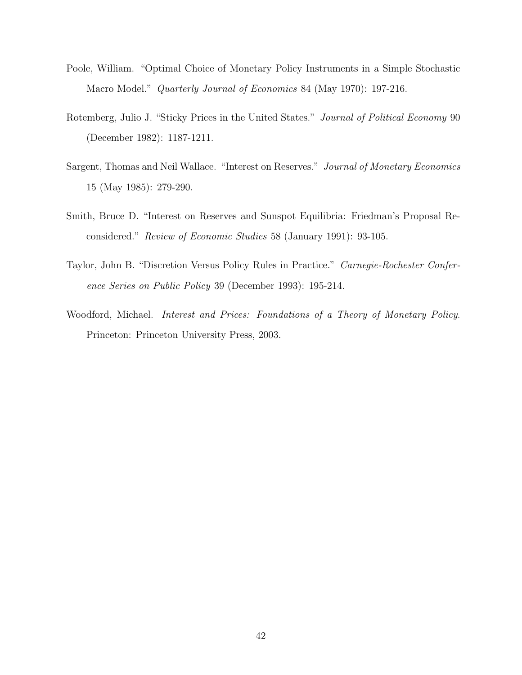- Poole, William. "Optimal Choice of Monetary Policy Instruments in a Simple Stochastic Macro Model." Quarterly Journal of Economics 84 (May 1970): 197-216.
- Rotemberg, Julio J. "Sticky Prices in the United States." Journal of Political Economy 90 (December 1982): 1187-1211.
- Sargent, Thomas and Neil Wallace. "Interest on Reserves." Journal of Monetary Economics 15 (May 1985): 279-290.
- Smith, Bruce D. "Interest on Reserves and Sunspot Equilibria: Friedman's Proposal Reconsidered." Review of Economic Studies 58 (January 1991): 93-105.
- Taylor, John B. "Discretion Versus Policy Rules in Practice." Carnegie-Rochester Conference Series on Public Policy 39 (December 1993): 195-214.
- Woodford, Michael. Interest and Prices: Foundations of a Theory of Monetary Policy. Princeton: Princeton University Press, 2003.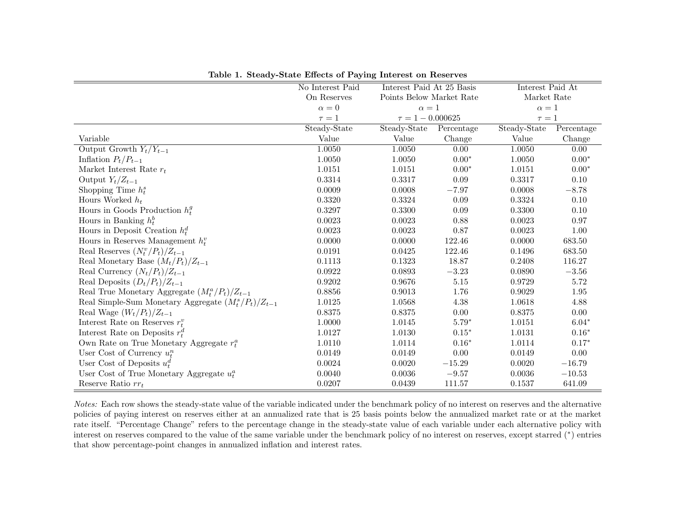|                                                          | No Interest Paid | Interest Paid At 25 Basis<br>Points Below Market Rate |            | Interest Paid At |            |
|----------------------------------------------------------|------------------|-------------------------------------------------------|------------|------------------|------------|
|                                                          | On Reserves      |                                                       |            | Market Rate      |            |
|                                                          | $\alpha = 0$     | $\alpha=1$                                            |            | $\alpha=1$       |            |
|                                                          | $\tau=1$         | $\tau = 1 - 0.000625$                                 |            | $\tau=1$         |            |
|                                                          | Steady-State     | Steady-State                                          | Percentage | Steady-State     | Percentage |
| Variable                                                 | Value            | Value                                                 | Change     | Value            | Change     |
| Output Growth $Y_t/Y_{t-1}$                              | 1.0050           | 1.0050                                                | 0.00       | 1.0050           | 0.00       |
| Inflation $P_t/P_{t-1}$                                  | 1.0050           | 1.0050                                                | $0.00*$    | 1.0050           | $0.00*$    |
| Market Interest Rate $r_t$                               | 1.0151           | 1.0151                                                | $0.00*$    | 1.0151           | $0.00*$    |
| Output $Y_t/Z_{t-1}$                                     | 0.3314           | 0.3317                                                | 0.09       | 0.3317           | 0.10       |
| Shopping Time $h_t^s$                                    | 0.0009           | 0.0008                                                | $-7.97$    | 0.0008           | $-8.78$    |
| Hours Worked $h_t$                                       | 0.3320           | 0.3324                                                | 0.09       | 0.3324           | 0.10       |
| Hours in Goods Production $h_t^g$                        | 0.3297           | 0.3300                                                | 0.09       | 0.3300           | 0.10       |
| Hours in Banking $h_t^b$                                 | 0.0023           | 0.0023                                                | 0.88       | 0.0023           | 0.97       |
| Hours in Deposit Creation $h_t^d$                        | 0.0023           | 0.0023                                                | 0.87       | 0.0023           | 1.00       |
| Hours in Reserves Management $h_t^v$                     | 0.0000           | 0.0000                                                | 122.46     | 0.0000           | 683.50     |
| Real Reserves $(N_t^v/P_t)/Z_{t-1}$                      | 0.0191           | 0.0425                                                | 122.46     | 0.1496           | 683.50     |
| Real Monetary Base $(M_t/P_t)/Z_{t-1}$                   | 0.1113           | 0.1323                                                | 18.87      | 0.2408           | 116.27     |
| Real Currency $(N_t/P_t)/Z_{t-1}$                        | 0.0922           | 0.0893                                                | $-3.23$    | 0.0890           | $-3.56$    |
| Real Deposits $(D_t/P_t)/Z_{t-1}$                        | 0.9202           | 0.9676                                                | 5.15       | 0.9729           | 5.72       |
| Real True Monetary Aggregate $(M_t^a/P_t)/Z_{t-1}$       | 0.8856           | 0.9013                                                | 1.76       | 0.9029           | 1.95       |
| Real Simple-Sum Monetary Aggregate $(M_t^s/P_t)/Z_{t-1}$ | 1.0125           | 1.0568                                                | 4.38       | 1.0618           | 4.88       |
| Real Wage $(W_t/P_t)/Z_{t-1}$                            | 0.8375           | 0.8375                                                | 0.00       | 0.8375           | $0.00\,$   |
| Interest Rate on Reserves $r_t^v$                        | 1.0000           | 1.0145                                                | $5.79*$    | 1.0151           | $6.04*$    |
| Interest Rate on Deposits $r_t^d$                        | 1.0127           | 1.0130                                                | $0.15*$    | 1.0131           | $0.16*$    |
| Own Rate on True Monetary Aggregate $r_t^a$              | 1.0110           | 1.0114                                                | $0.16*$    | 1.0114           | $0.17*$    |
| User Cost of Currency $u_t^n$                            | 0.0149           | 0.0149                                                | 0.00       | 0.0149           | 0.00       |
| User Cost of Deposits $u_t^d$                            | 0.0024           | 0.0020                                                | $-15.29$   | 0.0020           | $-16.79$   |
| User Cost of True Monetary Aggregate $u_t^a$             | 0.0040           | 0.0036                                                | $-9.57$    | 0.0036           | $-10.53$   |
| Reserve Ratio $rr_t$                                     | 0.0207           | 0.0439                                                | 111.57     | 0.1537           | 641.09     |

Table 1. Steady-State Effects of Paying Interest on Reserves

Notes: Each row shows the steady-state value of the variable indicated under the benchmark policy of no interest on reserves and the alternative policies of paying interest on reserves either at an annualized rate that is 25 basis points below the annualized market rate or at the market rate itself. "Percentage Change" refers to the percentage change in the steady-state value of each variable under each alternative policy with interest on reserves compared to the value of the same variable under the benchmark policy of no interest on reserves, except starred (<sup>∗</sup> ) entries that show percentage-point changes in annualized inflation and interest rates.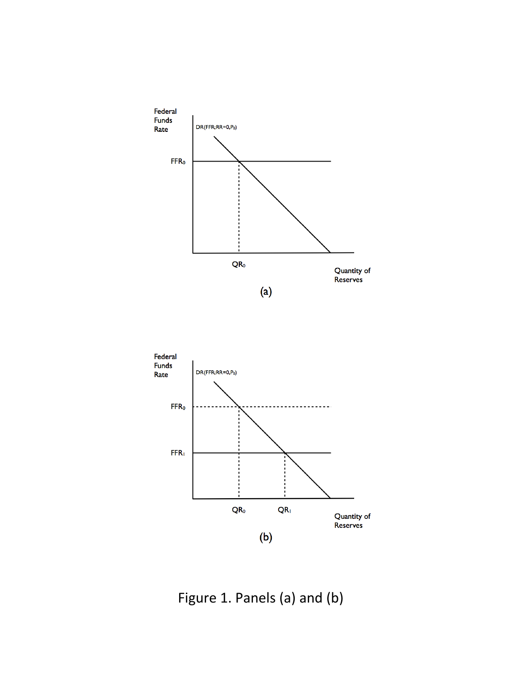

Figure 1. Panels (a) and (b)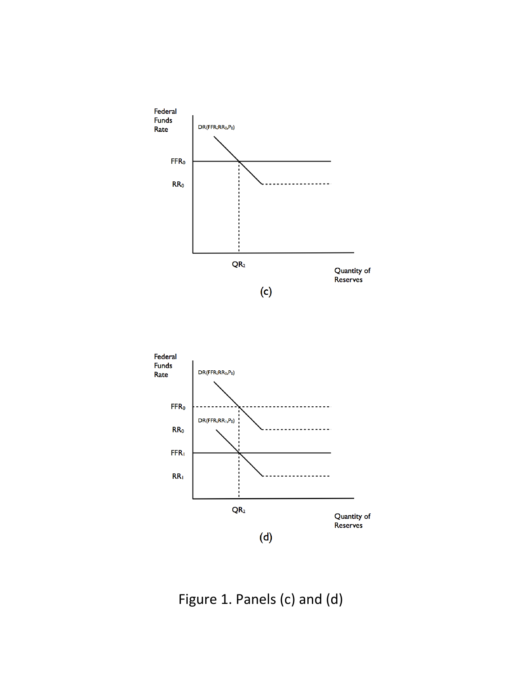



Figure 1. Panels (c) and (d)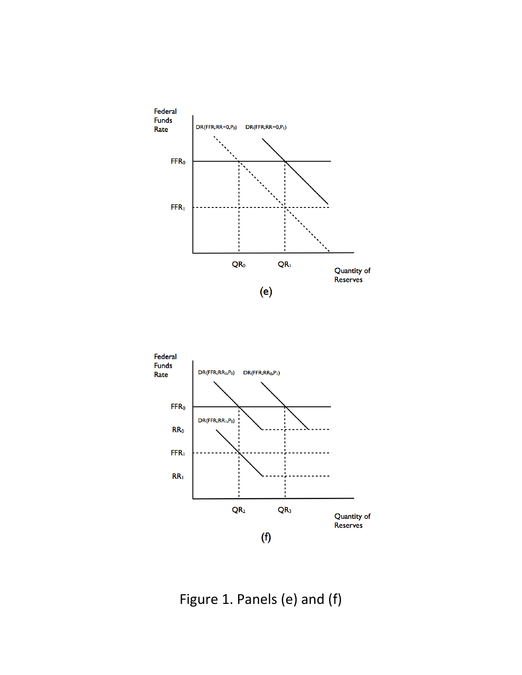

![](_page_46_Figure_1.jpeg)

Figure 1. Panels (e) and (f)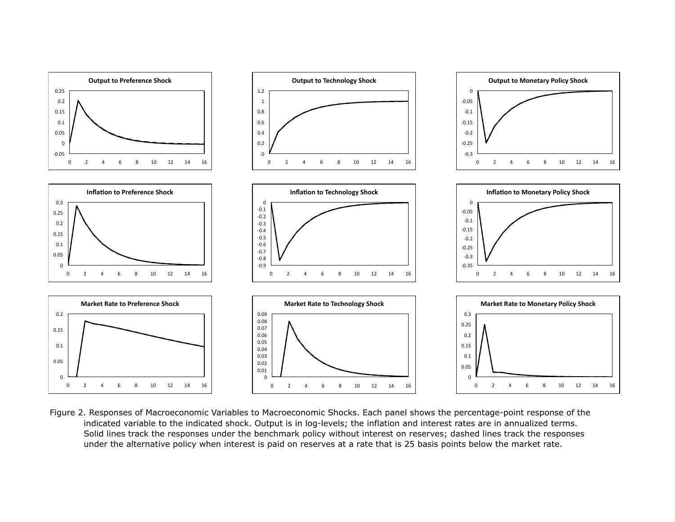![](_page_47_Figure_0.jpeg)

Figure 2. Responses of Macroeconomic Variables to Macroeconomic Shocks. Each panel shows the percentage-point response of the indicated variable to the indicated shock. Output is in log-levels; the inflation and interest rates are in annualized terms. Solid lines track the responses under the benchmark policy without interest on reserves; dashed lines track the responses under the alternative policy when interest is paid on reserves at a rate that is 25 basis points below the market rate.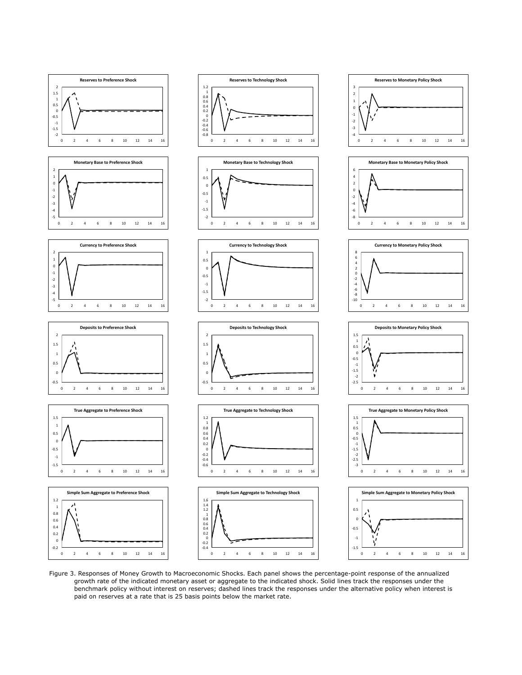![](_page_48_Figure_0.jpeg)

Figure 3. Responses of Money Growth to Macroeconomic Shocks. Each panel shows the percentage-point response of the annualized growth rate of the indicated monetary asset or aggregate to the indicated shock. Solid lines track the responses under the benchmark policy without interest on reserves; dashed lines track the responses under the alternative policy when interest is paid on reserves at a rate that is 25 basis points below the market rate.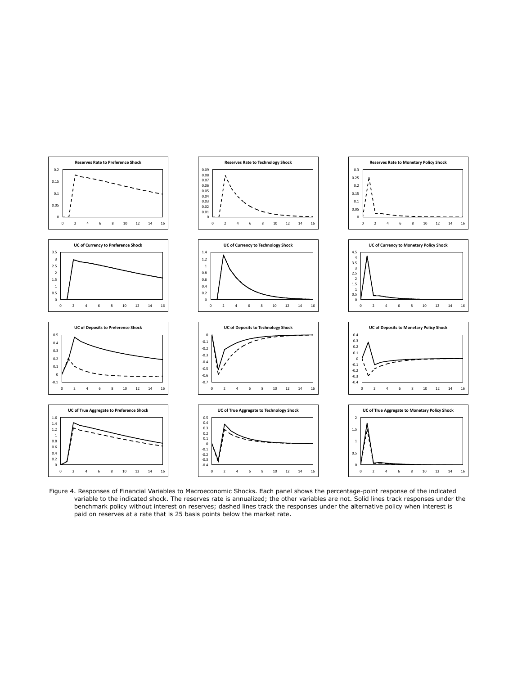![](_page_49_Figure_0.jpeg)

Figure 4. Responses of Financial Variables to Macroeconomic Shocks. Each panel shows the percentage-point response of the indicated variable to the indicated shock. The reserves rate is annualized; the other variables are not. Solid lines track responses under the benchmark policy without interest on reserves; dashed lines track the responses under the alternative policy when interest is paid on reserves at a rate that is 25 basis points below the market rate.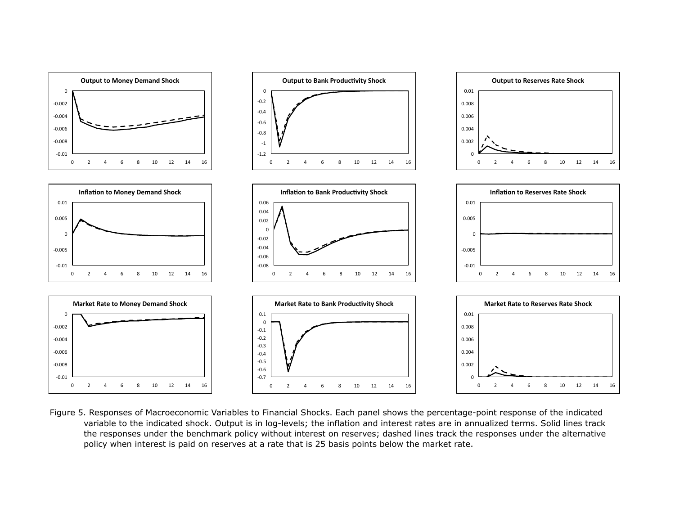![](_page_50_Figure_0.jpeg)

Figure 5. Responses of Macroeconomic Variables to Financial Shocks. Each panel shows the percentage-point response of the indicated variable to the indicated shock. Output is in log-levels; the inflation and interest rates are in annualized terms. Solid lines track the responses under the benchmark policy without interest on reserves; dashed lines track the responses under the alternative policy when interest is paid on reserves at a rate that is 25 basis points below the market rate.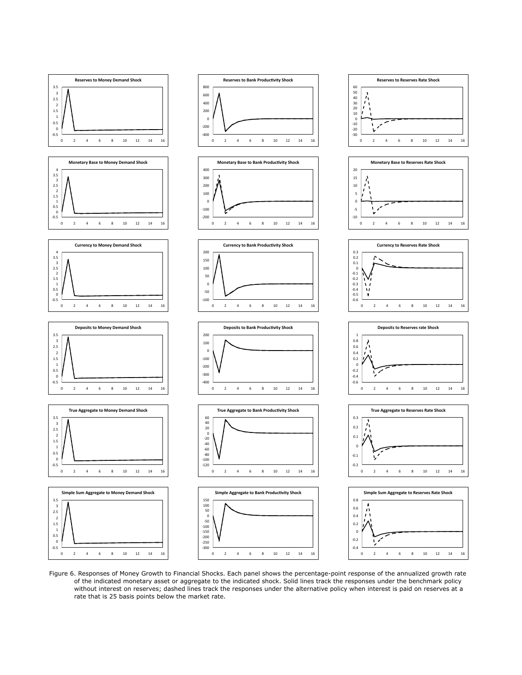![](_page_51_Figure_0.jpeg)

Figure 6. Responses of Money Growth to Financial Shocks. Each panel shows the percentage-point response of the annualized growth rate of the indicated monetary asset or aggregate to the indicated shock. Solid lines track the responses under the benchmark policy without interest on reserves; dashed lines track the responses under the alternative policy when interest is paid on reserves at a rate that is 25 basis points below the market rate.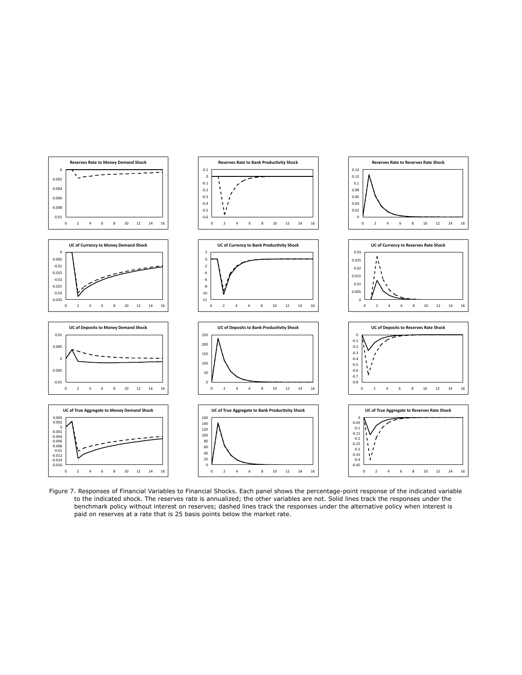![](_page_52_Figure_0.jpeg)

Figure 7. Responses of Financial Variables to Financial Shocks. Each panel shows the percentage-point response of the indicated variable to the indicated shock. The reserves rate is annualized; the other variables are not. Solid lines track the responses under the benchmark policy without interest on reserves; dashed lines track the responses under the alternative policy when interest is paid on reserves at a rate that is 25 basis points below the market rate.